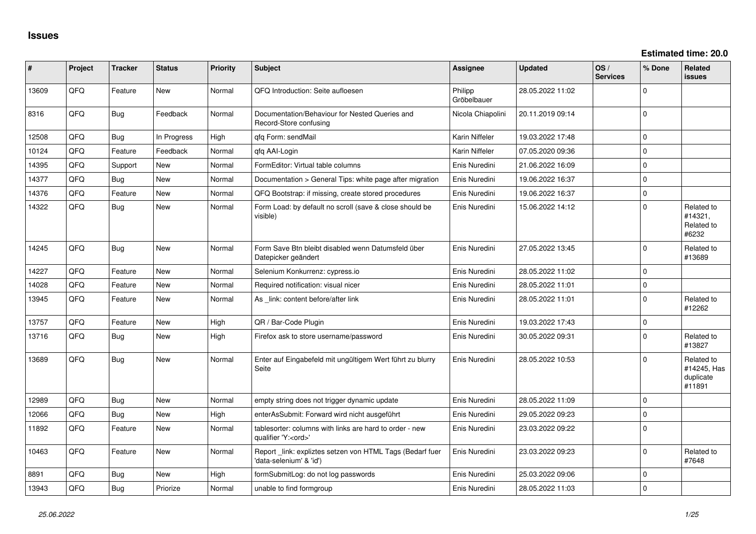| #     | Project | <b>Tracker</b> | <b>Status</b> | <b>Priority</b> | Subject                                                                               | <b>Assignee</b>        | <b>Updated</b>   | OS/<br><b>Services</b> | % Done      | Related<br>issues                                |
|-------|---------|----------------|---------------|-----------------|---------------------------------------------------------------------------------------|------------------------|------------------|------------------------|-------------|--------------------------------------------------|
| 13609 | QFQ     | Feature        | New           | Normal          | QFQ Introduction: Seite aufloesen                                                     | Philipp<br>Gröbelbauer | 28.05.2022 11:02 |                        | $\Omega$    |                                                  |
| 8316  | QFQ     | Bug            | Feedback      | Normal          | Documentation/Behaviour for Nested Queries and<br>Record-Store confusing              | Nicola Chiapolini      | 20.11.2019 09:14 |                        | $\mathbf 0$ |                                                  |
| 12508 | QFQ     | <b>Bug</b>     | In Progress   | High            | qfq Form: sendMail                                                                    | Karin Niffeler         | 19.03.2022 17:48 |                        | $\Omega$    |                                                  |
| 10124 | QFQ     | Feature        | Feedback      | Normal          | qfq AAI-Login                                                                         | Karin Niffeler         | 07.05.2020 09:36 |                        | $\mathbf 0$ |                                                  |
| 14395 | QFQ     | Support        | New           | Normal          | FormEditor: Virtual table columns                                                     | Enis Nuredini          | 21.06.2022 16:09 |                        | $\mathbf 0$ |                                                  |
| 14377 | QFQ     | Bug            | New           | Normal          | Documentation > General Tips: white page after migration                              | Enis Nuredini          | 19.06.2022 16:37 |                        | $\mathbf 0$ |                                                  |
| 14376 | QFQ     | Feature        | New           | Normal          | QFQ Bootstrap: if missing, create stored procedures                                   | Enis Nuredini          | 19.06.2022 16:37 |                        | $\mathbf 0$ |                                                  |
| 14322 | QFQ     | Bug            | New           | Normal          | Form Load: by default no scroll (save & close should be<br>visible)                   | Enis Nuredini          | 15.06.2022 14:12 |                        | $\mathbf 0$ | Related to<br>#14321,<br>Related to<br>#6232     |
| 14245 | QFQ     | <b>Bug</b>     | New           | Normal          | Form Save Btn bleibt disabled wenn Datumsfeld über<br>Datepicker geändert             | Enis Nuredini          | 27.05.2022 13:45 |                        | 0           | Related to<br>#13689                             |
| 14227 | QFQ     | Feature        | <b>New</b>    | Normal          | Selenium Konkurrenz: cypress.io                                                       | Enis Nuredini          | 28.05.2022 11:02 |                        | $\mathbf 0$ |                                                  |
| 14028 | QFQ     | Feature        | New           | Normal          | Required notification: visual nicer                                                   | Enis Nuredini          | 28.05.2022 11:01 |                        | $\mathbf 0$ |                                                  |
| 13945 | QFQ     | Feature        | New           | Normal          | As _link: content before/after link                                                   | Enis Nuredini          | 28.05.2022 11:01 |                        | $\Omega$    | Related to<br>#12262                             |
| 13757 | QFQ     | Feature        | New           | High            | QR / Bar-Code Plugin                                                                  | Enis Nuredini          | 19.03.2022 17:43 |                        | $\mathbf 0$ |                                                  |
| 13716 | QFQ     | Bug            | New           | High            | Firefox ask to store username/password                                                | Enis Nuredini          | 30.05.2022 09:31 |                        | $\Omega$    | Related to<br>#13827                             |
| 13689 | QFQ     | <b>Bug</b>     | New           | Normal          | Enter auf Eingabefeld mit ungültigem Wert führt zu blurry<br>Seite                    | Enis Nuredini          | 28.05.2022 10:53 |                        | $\Omega$    | Related to<br>#14245, Has<br>duplicate<br>#11891 |
| 12989 | QFQ     | <b>Bug</b>     | <b>New</b>    | Normal          | empty string does not trigger dynamic update                                          | Enis Nuredini          | 28.05.2022 11:09 |                        | $\mathbf 0$ |                                                  |
| 12066 | QFQ     | <b>Bug</b>     | New           | High            | enterAsSubmit: Forward wird nicht ausgeführt                                          | Enis Nuredini          | 29.05.2022 09:23 |                        | $\Omega$    |                                                  |
| 11892 | QFQ     | Feature        | New           | Normal          | tablesorter: columns with links are hard to order - new<br>qualifier 'Y: <ord>'</ord> | Enis Nuredini          | 23.03.2022 09:22 |                        | $\mathbf 0$ |                                                  |
| 10463 | QFQ     | Feature        | New           | Normal          | Report _link: expliztes setzen von HTML Tags (Bedarf fuer<br>data-selenium' & 'id')   | Enis Nuredini          | 23.03.2022 09:23 |                        | $\mathbf 0$ | Related to<br>#7648                              |
| 8891  | QFQ     | <b>Bug</b>     | New           | High            | formSubmitLog: do not log passwords                                                   | Enis Nuredini          | 25.03.2022 09:06 |                        | $\mathbf 0$ |                                                  |
| 13943 | QFG     | <b>Bug</b>     | Priorize      | Normal          | unable to find formgroup                                                              | Enis Nuredini          | 28.05.2022 11:03 |                        | 0           |                                                  |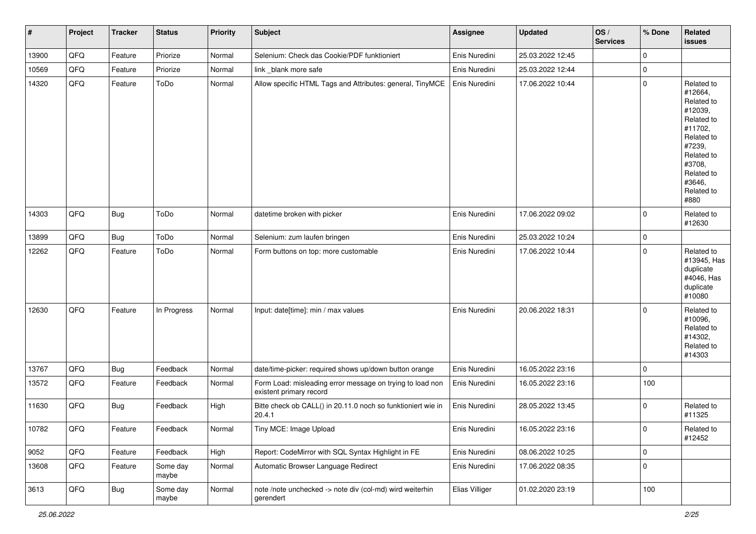| $\sharp$ | Project | <b>Tracker</b> | <b>Status</b>     | Priority | <b>Subject</b>                                                                       | <b>Assignee</b> | <b>Updated</b>   | OS/<br><b>Services</b> | % Done      | Related<br>issues                                                                                                                                                     |
|----------|---------|----------------|-------------------|----------|--------------------------------------------------------------------------------------|-----------------|------------------|------------------------|-------------|-----------------------------------------------------------------------------------------------------------------------------------------------------------------------|
| 13900    | QFQ     | Feature        | Priorize          | Normal   | Selenium: Check das Cookie/PDF funktioniert                                          | Enis Nuredini   | 25.03.2022 12:45 |                        | $\mathbf 0$ |                                                                                                                                                                       |
| 10569    | QFQ     | Feature        | Priorize          | Normal   | link _blank more safe                                                                | Enis Nuredini   | 25.03.2022 12:44 |                        | 0           |                                                                                                                                                                       |
| 14320    | QFQ     | Feature        | ToDo              | Normal   | Allow specific HTML Tags and Attributes: general, TinyMCE                            | Enis Nuredini   | 17.06.2022 10:44 |                        | $\mathbf 0$ | Related to<br>#12664,<br>Related to<br>#12039,<br>Related to<br>#11702,<br>Related to<br>#7239,<br>Related to<br>#3708,<br>Related to<br>#3646,<br>Related to<br>#880 |
| 14303    | QFQ     | Bug            | ToDo              | Normal   | datetime broken with picker                                                          | Enis Nuredini   | 17.06.2022 09:02 |                        | $\Omega$    | Related to<br>#12630                                                                                                                                                  |
| 13899    | QFQ     | Bug            | ToDo              | Normal   | Selenium: zum laufen bringen                                                         | Enis Nuredini   | 25.03.2022 10:24 |                        | 0           |                                                                                                                                                                       |
| 12262    | QFQ     | Feature        | ToDo              | Normal   | Form buttons on top: more customable                                                 | Enis Nuredini   | 17.06.2022 10:44 |                        | $\Omega$    | Related to<br>#13945, Has<br>duplicate<br>#4046, Has<br>duplicate<br>#10080                                                                                           |
| 12630    | QFQ     | Feature        | In Progress       | Normal   | Input: date[time]: min / max values                                                  | Enis Nuredini   | 20.06.2022 18:31 |                        | $\Omega$    | Related to<br>#10096,<br>Related to<br>#14302,<br>Related to<br>#14303                                                                                                |
| 13767    | QFQ     | Bug            | Feedback          | Normal   | date/time-picker: required shows up/down button orange                               | Enis Nuredini   | 16.05.2022 23:16 |                        | $\Omega$    |                                                                                                                                                                       |
| 13572    | QFQ     | Feature        | Feedback          | Normal   | Form Load: misleading error message on trying to load non<br>existent primary record | Enis Nuredini   | 16.05.2022 23:16 |                        | 100         |                                                                                                                                                                       |
| 11630    | QFQ     | Bug            | Feedback          | High     | Bitte check ob CALL() in 20.11.0 noch so funktioniert wie in<br>20.4.1               | Enis Nuredini   | 28.05.2022 13:45 |                        | $\mathbf 0$ | Related to<br>#11325                                                                                                                                                  |
| 10782    | QFQ     | Feature        | Feedback          | Normal   | Tiny MCE: Image Upload                                                               | Enis Nuredini   | 16.05.2022 23:16 |                        | $\pmb{0}$   | Related to<br>#12452                                                                                                                                                  |
| 9052     | QFQ     | Feature        | Feedback          | High     | Report: CodeMirror with SQL Syntax Highlight in FE                                   | Enis Nuredini   | 08.06.2022 10:25 |                        | 0           |                                                                                                                                                                       |
| 13608    | QFQ     | Feature        | Some day<br>maybe | Normal   | Automatic Browser Language Redirect                                                  | Enis Nuredini   | 17.06.2022 08:35 |                        | 0           |                                                                                                                                                                       |
| 3613     | QFQ     | <b>Bug</b>     | Some day<br>maybe | Normal   | note /note unchecked -> note div (col-md) wird weiterhin<br>gerendert                | Elias Villiger  | 01.02.2020 23:19 |                        | 100         |                                                                                                                                                                       |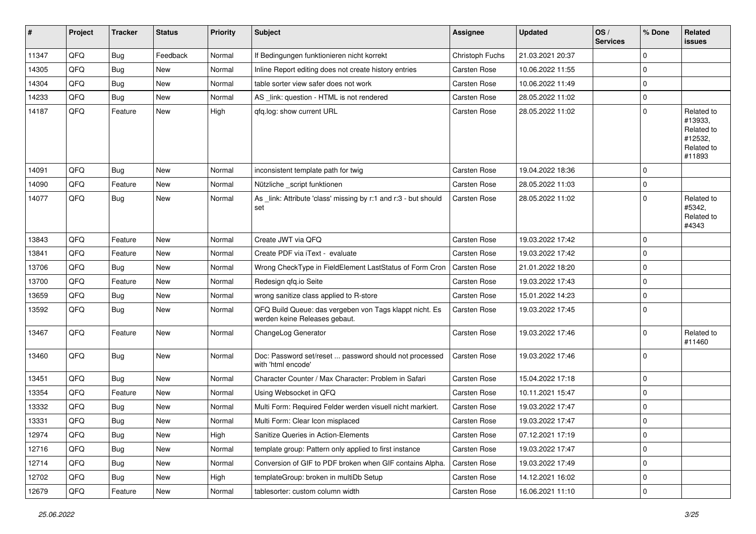| #     | Project | <b>Tracker</b> | <b>Status</b> | <b>Priority</b> | <b>Subject</b>                                                                           | <b>Assignee</b>     | <b>Updated</b>   | OS/<br><b>Services</b> | % Done      | <b>Related</b><br>issues                                               |
|-------|---------|----------------|---------------|-----------------|------------------------------------------------------------------------------------------|---------------------|------------------|------------------------|-------------|------------------------------------------------------------------------|
| 11347 | QFQ     | <b>Bug</b>     | Feedback      | Normal          | If Bedingungen funktionieren nicht korrekt                                               | Christoph Fuchs     | 21.03.2021 20:37 |                        | $\mathbf 0$ |                                                                        |
| 14305 | QFQ     | <b>Bug</b>     | New           | Normal          | Inline Report editing does not create history entries                                    | Carsten Rose        | 10.06.2022 11:55 |                        | $\mathbf 0$ |                                                                        |
| 14304 | QFQ     | <b>Bug</b>     | New           | Normal          | table sorter view safer does not work                                                    | Carsten Rose        | 10.06.2022 11:49 |                        | $\mathbf 0$ |                                                                        |
| 14233 | QFQ     | <b>Bug</b>     | New           | Normal          | AS _link: question - HTML is not rendered                                                | <b>Carsten Rose</b> | 28.05.2022 11:02 |                        | $\mathbf 0$ |                                                                        |
| 14187 | QFQ     | Feature        | New           | High            | qfq.log: show current URL                                                                | Carsten Rose        | 28.05.2022 11:02 |                        | $\mathbf 0$ | Related to<br>#13933,<br>Related to<br>#12532,<br>Related to<br>#11893 |
| 14091 | QFQ     | <b>Bug</b>     | New           | Normal          | inconsistent template path for twig                                                      | <b>Carsten Rose</b> | 19.04.2022 18:36 |                        | $\Omega$    |                                                                        |
| 14090 | QFQ     | Feature        | New           | Normal          | Nützliche _script funktionen                                                             | <b>Carsten Rose</b> | 28.05.2022 11:03 |                        | $\mathbf 0$ |                                                                        |
| 14077 | QFQ     | <b>Bug</b>     | New           | Normal          | As _link: Attribute 'class' missing by r:1 and r:3 - but should<br>set                   | Carsten Rose        | 28.05.2022 11:02 |                        | $\mathbf 0$ | Related to<br>#5342,<br>Related to<br>#4343                            |
| 13843 | QFQ     | Feature        | New           | Normal          | Create JWT via QFQ                                                                       | Carsten Rose        | 19.03.2022 17:42 |                        | $\Omega$    |                                                                        |
| 13841 | QFQ     | Feature        | New           | Normal          | Create PDF via iText - evaluate                                                          | Carsten Rose        | 19.03.2022 17:42 |                        | $\mathbf 0$ |                                                                        |
| 13706 | QFQ     | Bug            | New           | Normal          | Wrong CheckType in FieldElement LastStatus of Form Cron                                  | <b>Carsten Rose</b> | 21.01.2022 18:20 |                        | $\mathbf 0$ |                                                                        |
| 13700 | QFQ     | Feature        | <b>New</b>    | Normal          | Redesign qfq.io Seite                                                                    | Carsten Rose        | 19.03.2022 17:43 |                        | $\mathbf 0$ |                                                                        |
| 13659 | QFQ     | <b>Bug</b>     | New           | Normal          | wrong sanitize class applied to R-store                                                  | Carsten Rose        | 15.01.2022 14:23 |                        | $\mathbf 0$ |                                                                        |
| 13592 | QFQ     | Bug            | New           | Normal          | QFQ Build Queue: das vergeben von Tags klappt nicht. Es<br>werden keine Releases gebaut. | Carsten Rose        | 19.03.2022 17:45 |                        | $\mathbf 0$ |                                                                        |
| 13467 | QFQ     | Feature        | New           | Normal          | ChangeLog Generator                                                                      | Carsten Rose        | 19.03.2022 17:46 |                        | $\mathbf 0$ | Related to<br>#11460                                                   |
| 13460 | QFQ     | Bug            | <b>New</b>    | Normal          | Doc: Password set/reset  password should not processed<br>with 'html encode'             | Carsten Rose        | 19.03.2022 17:46 |                        | $\mathbf 0$ |                                                                        |
| 13451 | QFQ     | <b>Bug</b>     | <b>New</b>    | Normal          | Character Counter / Max Character: Problem in Safari                                     | Carsten Rose        | 15.04.2022 17:18 |                        | $\mathbf 0$ |                                                                        |
| 13354 | QFQ     | Feature        | New           | Normal          | Using Websocket in QFQ                                                                   | Carsten Rose        | 10.11.2021 15:47 |                        | $\mathbf 0$ |                                                                        |
| 13332 | QFQ     | Bug            | New           | Normal          | Multi Form: Required Felder werden visuell nicht markiert.                               | <b>Carsten Rose</b> | 19.03.2022 17:47 |                        | $\mathbf 0$ |                                                                        |
| 13331 | QFQ     | <b>Bug</b>     | New           | Normal          | Multi Form: Clear Icon misplaced                                                         | Carsten Rose        | 19.03.2022 17:47 |                        | $\mathbf 0$ |                                                                        |
| 12974 | QFQ     | <b>Bug</b>     | New           | High            | Sanitize Queries in Action-Elements                                                      | Carsten Rose        | 07.12.2021 17:19 |                        | 0           |                                                                        |
| 12716 | QFQ     | Bug            | New           | Normal          | template group: Pattern only applied to first instance                                   | Carsten Rose        | 19.03.2022 17:47 |                        | $\mathbf 0$ |                                                                        |
| 12714 | QFQ     | <b>Bug</b>     | New           | Normal          | Conversion of GIF to PDF broken when GIF contains Alpha.                                 | Carsten Rose        | 19.03.2022 17:49 |                        | 0           |                                                                        |
| 12702 | QFQ     | <b>Bug</b>     | New           | High            | templateGroup: broken in multiDb Setup                                                   | Carsten Rose        | 14.12.2021 16:02 |                        | 0           |                                                                        |
| 12679 | QFQ     | Feature        | New           | Normal          | tablesorter: custom column width                                                         | Carsten Rose        | 16.06.2021 11:10 |                        | $\mathbf 0$ |                                                                        |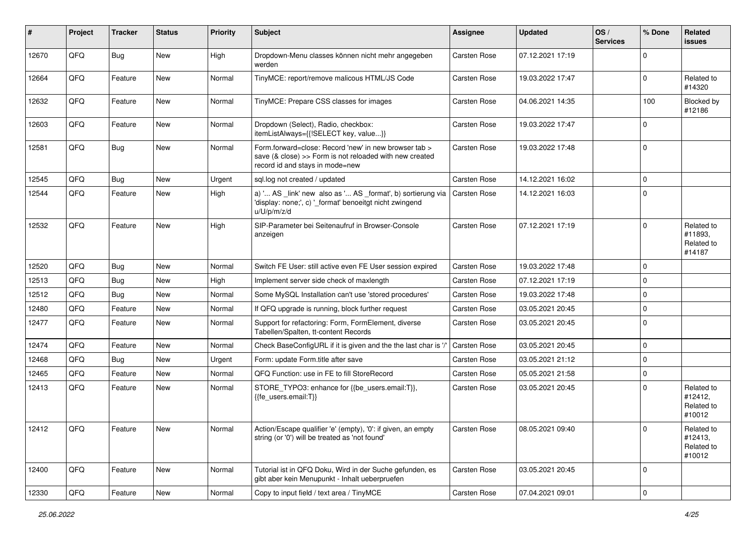| #     | Project | <b>Tracker</b> | <b>Status</b> | <b>Priority</b> | <b>Subject</b>                                                                                                                                      | <b>Assignee</b>     | <b>Updated</b>   | OS/<br><b>Services</b> | % Done      | Related<br><b>issues</b>                      |
|-------|---------|----------------|---------------|-----------------|-----------------------------------------------------------------------------------------------------------------------------------------------------|---------------------|------------------|------------------------|-------------|-----------------------------------------------|
| 12670 | QFQ     | <b>Bug</b>     | New           | High            | Dropdown-Menu classes können nicht mehr angegeben<br>werden                                                                                         | Carsten Rose        | 07.12.2021 17:19 |                        | $\Omega$    |                                               |
| 12664 | QFQ     | Feature        | New           | Normal          | TinyMCE: report/remove malicous HTML/JS Code                                                                                                        | Carsten Rose        | 19.03.2022 17:47 |                        | $\mathbf 0$ | Related to<br>#14320                          |
| 12632 | QFQ     | Feature        | New           | Normal          | TinyMCE: Prepare CSS classes for images                                                                                                             | Carsten Rose        | 04.06.2021 14:35 |                        | 100         | Blocked by<br>#12186                          |
| 12603 | QFQ     | Feature        | New           | Normal          | Dropdown (Select), Radio, checkbox:<br>itemListAlways={{!SELECT key, value}}                                                                        | Carsten Rose        | 19.03.2022 17:47 |                        | $\mathbf 0$ |                                               |
| 12581 | QFQ     | Bug            | New           | Normal          | Form.forward=close: Record 'new' in new browser tab ><br>save (& close) >> Form is not reloaded with new created<br>record id and stays in mode=new | Carsten Rose        | 19.03.2022 17:48 |                        | $\mathbf 0$ |                                               |
| 12545 | QFQ     | <b>Bug</b>     | <b>New</b>    | Urgent          | sql.log not created / updated                                                                                                                       | Carsten Rose        | 14.12.2021 16:02 |                        | $\mathbf 0$ |                                               |
| 12544 | QFQ     | Feature        | New           | High            | a) ' AS _link' new also as ' AS _format', b) sortierung via<br>'display: none;', c) '_format' benoeitgt nicht zwingend<br>u/U/p/m/z/d               | Carsten Rose        | 14.12.2021 16:03 |                        | $\mathbf 0$ |                                               |
| 12532 | QFQ     | Feature        | <b>New</b>    | High            | SIP-Parameter bei Seitenaufruf in Browser-Console<br>anzeigen                                                                                       | Carsten Rose        | 07.12.2021 17:19 |                        | $\mathbf 0$ | Related to<br>#11893,<br>Related to<br>#14187 |
| 12520 | QFQ     | Bug            | New           | Normal          | Switch FE User: still active even FE User session expired                                                                                           | <b>Carsten Rose</b> | 19.03.2022 17:48 |                        | $\mathbf 0$ |                                               |
| 12513 | QFQ     | <b>Bug</b>     | New           | High            | Implement server side check of maxlength                                                                                                            | Carsten Rose        | 07.12.2021 17:19 |                        | $\mathbf 0$ |                                               |
| 12512 | QFQ     | <b>Bug</b>     | New           | Normal          | Some MySQL Installation can't use 'stored procedures'                                                                                               | Carsten Rose        | 19.03.2022 17:48 |                        | $\mathbf 0$ |                                               |
| 12480 | QFQ     | Feature        | <b>New</b>    | Normal          | If QFQ upgrade is running, block further request                                                                                                    | Carsten Rose        | 03.05.2021 20:45 |                        | $\mathbf 0$ |                                               |
| 12477 | QFQ     | Feature        | New           | Normal          | Support for refactoring: Form, FormElement, diverse<br>Tabellen/Spalten, tt-content Records                                                         | Carsten Rose        | 03.05.2021 20:45 |                        | $\mathbf 0$ |                                               |
| 12474 | QFQ     | Feature        | New           | Normal          | Check BaseConfigURL if it is given and the the last char is                                                                                         | Carsten Rose        | 03.05.2021 20:45 |                        | $\mathbf 0$ |                                               |
| 12468 | QFQ     | Bug            | New           | Urgent          | Form: update Form.title after save                                                                                                                  | Carsten Rose        | 03.05.2021 21:12 |                        | $\mathbf 0$ |                                               |
| 12465 | QFQ     | Feature        | New           | Normal          | QFQ Function: use in FE to fill StoreRecord                                                                                                         | Carsten Rose        | 05.05.2021 21:58 |                        | $\pmb{0}$   |                                               |
| 12413 | QFQ     | Feature        | New           | Normal          | STORE_TYPO3: enhance for {{be_users.email:T}},<br>{{fe users.email:T}}                                                                              | Carsten Rose        | 03.05.2021 20:45 |                        | $\mathbf 0$ | Related to<br>#12412.<br>Related to<br>#10012 |
| 12412 | QFQ     | Feature        | New           | Normal          | Action/Escape qualifier 'e' (empty), '0': if given, an empty<br>string (or '0') will be treated as 'not found'                                      | Carsten Rose        | 08.05.2021 09:40 |                        | 0           | Related to<br>#12413,<br>Related to<br>#10012 |
| 12400 | QFQ     | Feature        | New           | Normal          | Tutorial ist in QFQ Doku, Wird in der Suche gefunden, es<br>gibt aber kein Menupunkt - Inhalt ueberpruefen                                          | Carsten Rose        | 03.05.2021 20:45 |                        | $\mathbf 0$ |                                               |
| 12330 | QFQ     | Feature        | New           | Normal          | Copy to input field / text area / TinyMCE                                                                                                           | Carsten Rose        | 07.04.2021 09:01 |                        | $\pmb{0}$   |                                               |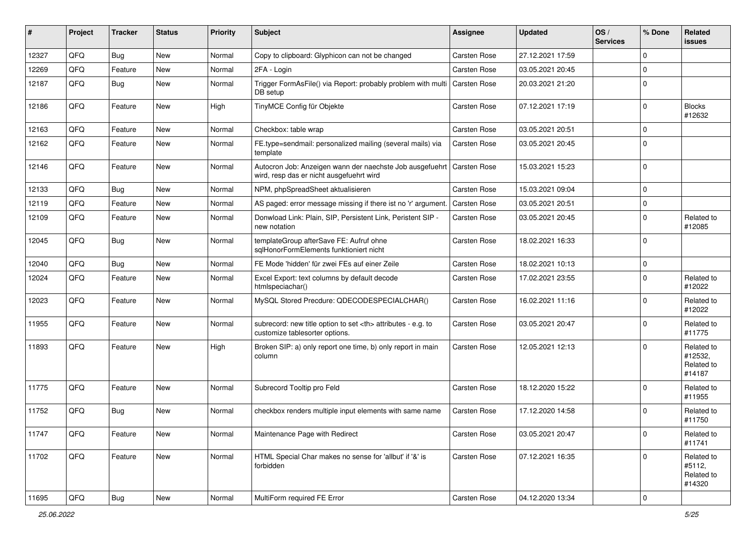| #     | Project | <b>Tracker</b> | <b>Status</b> | <b>Priority</b> | Subject                                                                                              | <b>Assignee</b>                                        | <b>Updated</b>      | $\log$<br><b>Services</b> | % Done    | Related<br>issues                             |                      |
|-------|---------|----------------|---------------|-----------------|------------------------------------------------------------------------------------------------------|--------------------------------------------------------|---------------------|---------------------------|-----------|-----------------------------------------------|----------------------|
| 12327 | QFQ     | <b>Bug</b>     | <b>New</b>    | Normal          | Copy to clipboard: Glyphicon can not be changed                                                      | <b>Carsten Rose</b>                                    | 27.12.2021 17:59    |                           | $\Omega$  |                                               |                      |
| 12269 | QFQ     | Feature        | New           | Normal          | 2FA - Login                                                                                          | Carsten Rose                                           | 03.05.2021 20:45    |                           | $\Omega$  |                                               |                      |
| 12187 | QFQ     | Bug            | New           | Normal          | Trigger FormAsFile() via Report: probably problem with multi   Carsten Rose<br>DB setup              |                                                        | 20.03.2021 21:20    |                           | $\Omega$  |                                               |                      |
| 12186 | QFQ     | Feature        | New           | High            | TinyMCE Config für Objekte                                                                           | <b>Carsten Rose</b>                                    | 07.12.2021 17:19    |                           | $\Omega$  | <b>Blocks</b><br>#12632                       |                      |
| 12163 | QFQ     | Feature        | <b>New</b>    | Normal          | Checkbox: table wrap                                                                                 | <b>Carsten Rose</b>                                    | 03.05.2021 20:51    |                           | $\Omega$  |                                               |                      |
| 12162 | QFQ     | Feature        | New           | Normal          | FE.type=sendmail: personalized mailing (several mails) via<br>template                               | Carsten Rose                                           | 03.05.2021 20:45    |                           | $\Omega$  |                                               |                      |
| 12146 | QFQ     | Feature        | <b>New</b>    | Normal          | Autocron Job: Anzeigen wann der naechste Job ausgefuehrt<br>wird, resp das er nicht ausgefuehrt wird | Carsten Rose                                           | 15.03.2021 15:23    |                           | $\Omega$  |                                               |                      |
| 12133 | QFQ     | <b>Bug</b>     | <b>New</b>    | Normal          | NPM, phpSpreadSheet aktualisieren                                                                    | Carsten Rose                                           | 15.03.2021 09:04    |                           | $\Omega$  |                                               |                      |
| 12119 | QFQ     | Feature        | <b>New</b>    | Normal          | AS paged: error message missing if there ist no 'r' argument.                                        | Carsten Rose                                           | 03.05.2021 20:51    |                           | $\Omega$  |                                               |                      |
| 12109 | QFQ     | Feature        | New           | Normal          | Donwload Link: Plain, SIP, Persistent Link, Peristent SIP -<br>new notation                          | <b>Carsten Rose</b>                                    | 03.05.2021 20:45    |                           | $\Omega$  | Related to<br>#12085                          |                      |
| 12045 | QFQ     | <b>Bug</b>     | <b>New</b>    | Normal          | templateGroup afterSave FE: Aufruf ohne<br>sqlHonorFormElements funktioniert nicht                   | Carsten Rose                                           | 18.02.2021 16:33    |                           | $\Omega$  |                                               |                      |
| 12040 | QFQ     | <b>Bug</b>     | <b>New</b>    | Normal          | FE Mode 'hidden' für zwei FEs auf einer Zeile                                                        | <b>Carsten Rose</b>                                    | 18.02.2021 10:13    |                           | $\Omega$  |                                               |                      |
| 12024 | QFQ     | Feature        | New           | Normal          | Excel Export: text columns by default decode<br>htmlspeciachar()                                     | <b>Carsten Rose</b>                                    | 17.02.2021 23:55    |                           | $\Omega$  | Related to<br>#12022                          |                      |
| 12023 | QFQ     | Feature        | <b>New</b>    | Normal          | MySQL Stored Precdure: QDECODESPECIALCHAR()                                                          | Carsten Rose                                           | 16.02.2021 11:16    |                           | $\Omega$  | Related to<br>#12022                          |                      |
| 11955 | QFQ     | Feature        | <b>New</b>    | Normal          | subrecord: new title option to set <th> attributes - e.g. to<br/>customize tablesorter options.</th> | attributes - e.g. to<br>customize tablesorter options. | <b>Carsten Rose</b> | 03.05.2021 20:47          |           | $\Omega$                                      | Related to<br>#11775 |
| 11893 | QFQ     | Feature        | New           | High            | Broken SIP: a) only report one time, b) only report in main<br>column                                | Carsten Rose                                           | 12.05.2021 12:13    |                           | $\Omega$  | Related to<br>#12532,<br>Related to<br>#14187 |                      |
| 11775 | QFQ     | Feature        | <b>New</b>    | Normal          | Subrecord Tooltip pro Feld                                                                           | Carsten Rose                                           | 18.12.2020 15:22    |                           | $\Omega$  | Related to<br>#11955                          |                      |
| 11752 | QFQ     | <b>Bug</b>     | New           | Normal          | checkbox renders multiple input elements with same name                                              | <b>Carsten Rose</b>                                    | 17.12.2020 14:58    |                           | $\Omega$  | Related to<br>#11750                          |                      |
| 11747 | QFG     | Feature        | New           | Normal          | Maintenance Page with Redirect                                                                       | Carsten Rose                                           | 03.05.2021 20:47    |                           | 0         | Related to<br>#11741                          |                      |
| 11702 | QFQ     | Feature        | New           | Normal          | HTML Special Char makes no sense for 'allbut' if '&' is<br>forbidden                                 | Carsten Rose                                           | 07.12.2021 16:35    |                           | $\Omega$  | Related to<br>#5112,<br>Related to<br>#14320  |                      |
| 11695 | QFQ     | Bug            | New           | Normal          | MultiForm required FE Error                                                                          | Carsten Rose                                           | 04.12.2020 13:34    |                           | $\pmb{0}$ |                                               |                      |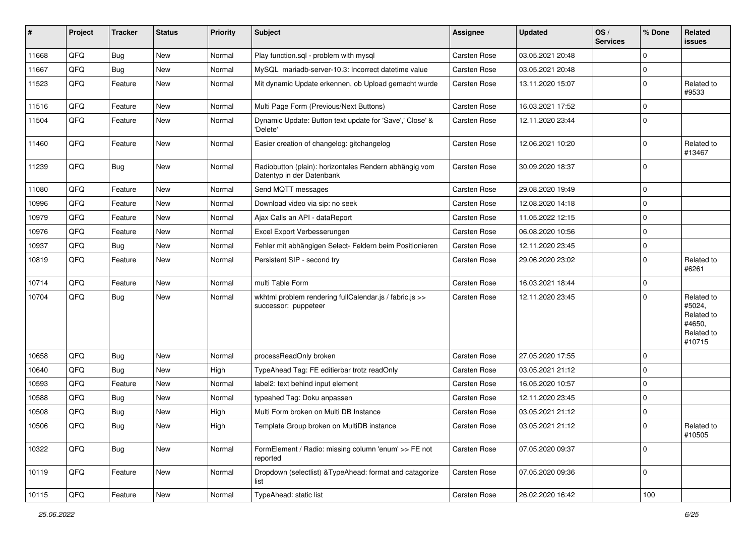| #     | Project        | <b>Tracker</b> | <b>Status</b> | <b>Priority</b> | <b>Subject</b>                                                                      | <b>Assignee</b>     | <b>Updated</b>   | OS/<br><b>Services</b> | % Done      | Related<br><b>issues</b>                                             |
|-------|----------------|----------------|---------------|-----------------|-------------------------------------------------------------------------------------|---------------------|------------------|------------------------|-------------|----------------------------------------------------------------------|
| 11668 | QFQ            | <b>Bug</b>     | <b>New</b>    | Normal          | Play function.sql - problem with mysql                                              | Carsten Rose        | 03.05.2021 20:48 |                        | $\mathbf 0$ |                                                                      |
| 11667 | QFQ            | <b>Bug</b>     | <b>New</b>    | Normal          | MySQL mariadb-server-10.3: Incorrect datetime value                                 | Carsten Rose        | 03.05.2021 20:48 |                        | 0           |                                                                      |
| 11523 | QFQ            | Feature        | New           | Normal          | Mit dynamic Update erkennen, ob Upload gemacht wurde                                | Carsten Rose        | 13.11.2020 15:07 |                        | $\mathbf 0$ | Related to<br>#9533                                                  |
| 11516 | QFQ            | Feature        | <b>New</b>    | Normal          | Multi Page Form (Previous/Next Buttons)                                             | Carsten Rose        | 16.03.2021 17:52 |                        | $\mathbf 0$ |                                                                      |
| 11504 | QFQ            | Feature        | New           | Normal          | Dynamic Update: Button text update for 'Save',' Close' &<br>'Delete'                | Carsten Rose        | 12.11.2020 23:44 |                        | $\Omega$    |                                                                      |
| 11460 | QFQ            | Feature        | <b>New</b>    | Normal          | Easier creation of changelog: gitchangelog                                          | Carsten Rose        | 12.06.2021 10:20 |                        | $\mathbf 0$ | Related to<br>#13467                                                 |
| 11239 | QFQ            | Bug            | New           | Normal          | Radiobutton (plain): horizontales Rendern abhängig vom<br>Datentyp in der Datenbank | Carsten Rose        | 30.09.2020 18:37 |                        | $\mathbf 0$ |                                                                      |
| 11080 | QFQ            | Feature        | New           | Normal          | Send MQTT messages                                                                  | Carsten Rose        | 29.08.2020 19:49 |                        | $\mathbf 0$ |                                                                      |
| 10996 | QFQ            | Feature        | New           | Normal          | Download video via sip: no seek                                                     | Carsten Rose        | 12.08.2020 14:18 |                        | $\mathbf 0$ |                                                                      |
| 10979 | QFQ            | Feature        | New           | Normal          | Ajax Calls an API - dataReport                                                      | Carsten Rose        | 11.05.2022 12:15 |                        | $\pmb{0}$   |                                                                      |
| 10976 | QFQ            | Feature        | New           | Normal          | Excel Export Verbesserungen                                                         | <b>Carsten Rose</b> | 06.08.2020 10:56 |                        | $\mathbf 0$ |                                                                      |
| 10937 | QFQ            | <b>Bug</b>     | New           | Normal          | Fehler mit abhängigen Select- Feldern beim Positionieren                            | Carsten Rose        | 12.11.2020 23:45 |                        | $\mathbf 0$ |                                                                      |
| 10819 | QFQ            | Feature        | New           | Normal          | Persistent SIP - second try                                                         | Carsten Rose        | 29.06.2020 23:02 |                        | $\mathbf 0$ | Related to<br>#6261                                                  |
| 10714 | QFQ            | Feature        | <b>New</b>    | Normal          | multi Table Form                                                                    | Carsten Rose        | 16.03.2021 18:44 |                        | $\mathbf 0$ |                                                                      |
| 10704 | QFQ            | <b>Bug</b>     | New           | Normal          | wkhtml problem rendering fullCalendar.js / fabric.js >><br>successor: puppeteer     | Carsten Rose        | 12.11.2020 23:45 |                        | $\Omega$    | Related to<br>#5024,<br>Related to<br>#4650,<br>Related to<br>#10715 |
| 10658 | QFQ            | <b>Bug</b>     | <b>New</b>    | Normal          | processReadOnly broken                                                              | <b>Carsten Rose</b> | 27.05.2020 17:55 |                        | $\mathbf 0$ |                                                                      |
| 10640 | QFQ            | <b>Bug</b>     | New           | High            | TypeAhead Tag: FE editierbar trotz readOnly                                         | Carsten Rose        | 03.05.2021 21:12 |                        | $\mathbf 0$ |                                                                      |
| 10593 | QFQ            | Feature        | New           | Normal          | label2: text behind input element                                                   | Carsten Rose        | 16.05.2020 10:57 |                        | $\Omega$    |                                                                      |
| 10588 | QFQ            | <b>Bug</b>     | New           | Normal          | typeahed Tag: Doku anpassen                                                         | Carsten Rose        | 12.11.2020 23:45 |                        | 0           |                                                                      |
| 10508 | QFQ            | <b>Bug</b>     | New           | High            | Multi Form broken on Multi DB Instance                                              | Carsten Rose        | 03.05.2021 21:12 |                        | $\pmb{0}$   |                                                                      |
| 10506 | $\mathsf{QFQ}$ | Bug            | New           | High            | Template Group broken on MultiDB instance                                           | Carsten Rose        | 03.05.2021 21:12 |                        | $\pmb{0}$   | Related to<br>#10505                                                 |
| 10322 | QFQ            | <b>Bug</b>     | New           | Normal          | FormElement / Radio: missing column 'enum' >> FE not<br>reported                    | Carsten Rose        | 07.05.2020 09:37 |                        | $\mathbf 0$ |                                                                      |
| 10119 | QFQ            | Feature        | New           | Normal          | Dropdown (selectlist) & Type Ahead: format and catagorize<br>list                   | Carsten Rose        | 07.05.2020 09:36 |                        | $\pmb{0}$   |                                                                      |
| 10115 | QFQ            | Feature        | New           | Normal          | TypeAhead: static list                                                              | Carsten Rose        | 26.02.2020 16:42 |                        | 100         |                                                                      |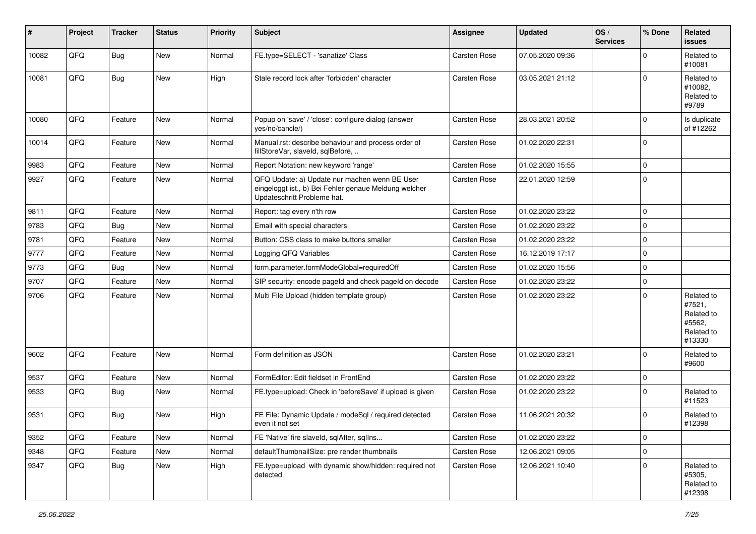| #     | Project | <b>Tracker</b> | <b>Status</b> | <b>Priority</b> | <b>Subject</b>                                                                                                                        | Assignee            | <b>Updated</b>   | OS/<br><b>Services</b> | % Done   | Related<br>issues                                                    |
|-------|---------|----------------|---------------|-----------------|---------------------------------------------------------------------------------------------------------------------------------------|---------------------|------------------|------------------------|----------|----------------------------------------------------------------------|
| 10082 | QFQ     | <b>Bug</b>     | New           | Normal          | FE.type=SELECT - 'sanatize' Class                                                                                                     | <b>Carsten Rose</b> | 07.05.2020 09:36 |                        | $\Omega$ | Related to<br>#10081                                                 |
| 10081 | QFQ     | <b>Bug</b>     | New           | High            | Stale record lock after 'forbidden' character                                                                                         | <b>Carsten Rose</b> | 03.05.2021 21:12 |                        | $\Omega$ | Related to<br>#10082,<br>Related to<br>#9789                         |
| 10080 | QFQ     | Feature        | New           | Normal          | Popup on 'save' / 'close': configure dialog (answer<br>yes/no/cancle/)                                                                | <b>Carsten Rose</b> | 28.03.2021 20:52 |                        | $\Omega$ | Is duplicate<br>of #12262                                            |
| 10014 | QFQ     | Feature        | New           | Normal          | Manual.rst: describe behaviour and process order of<br>fillStoreVar, slaveId, sqlBefore,                                              | Carsten Rose        | 01.02.2020 22:31 |                        | $\Omega$ |                                                                      |
| 9983  | QFQ     | Feature        | New           | Normal          | Report Notation: new keyword 'range'                                                                                                  | Carsten Rose        | 01.02.2020 15:55 |                        | $\Omega$ |                                                                      |
| 9927  | QFQ     | Feature        | New           | Normal          | QFQ Update: a) Update nur machen wenn BE User<br>eingeloggt ist., b) Bei Fehler genaue Meldung welcher<br>Updateschritt Probleme hat. | Carsten Rose        | 22.01.2020 12:59 |                        | $\Omega$ |                                                                      |
| 9811  | QFQ     | Feature        | New           | Normal          | Report: tag every n'th row                                                                                                            | <b>Carsten Rose</b> | 01.02.2020 23:22 |                        | $\Omega$ |                                                                      |
| 9783  | QFQ     | <b>Bug</b>     | New           | Normal          | Email with special characters                                                                                                         | Carsten Rose        | 01.02.2020 23:22 |                        | $\Omega$ |                                                                      |
| 9781  | QFQ     | Feature        | New           | Normal          | Button: CSS class to make buttons smaller                                                                                             | Carsten Rose        | 01.02.2020 23:22 |                        | $\Omega$ |                                                                      |
| 9777  | QFQ     | Feature        | New           | Normal          | Logging QFQ Variables                                                                                                                 | Carsten Rose        | 16.12.2019 17:17 |                        | $\Omega$ |                                                                      |
| 9773  | QFQ     | <b>Bug</b>     | New           | Normal          | form.parameter.formModeGlobal=requiredOff                                                                                             | Carsten Rose        | 01.02.2020 15:56 |                        | $\Omega$ |                                                                      |
| 9707  | QFQ     | Feature        | New           | Normal          | SIP security: encode pageld and check pageld on decode                                                                                | Carsten Rose        | 01.02.2020 23:22 |                        | $\Omega$ |                                                                      |
| 9706  | QFQ     | Feature        | New           | Normal          | Multi File Upload (hidden template group)                                                                                             | Carsten Rose        | 01.02.2020 23:22 |                        | $\Omega$ | Related to<br>#7521,<br>Related to<br>#5562,<br>Related to<br>#13330 |
| 9602  | QFQ     | Feature        | New           | Normal          | Form definition as JSON                                                                                                               | <b>Carsten Rose</b> | 01.02.2020 23:21 |                        | $\Omega$ | Related to<br>#9600                                                  |
| 9537  | QFQ     | Feature        | New           | Normal          | FormEditor: Edit fieldset in FrontEnd                                                                                                 | <b>Carsten Rose</b> | 01.02.2020 23:22 |                        | $\Omega$ |                                                                      |
| 9533  | QFQ     | <b>Bug</b>     | New           | Normal          | FE.type=upload: Check in 'beforeSave' if upload is given                                                                              | Carsten Rose        | 01.02.2020 23:22 |                        | $\Omega$ | Related to<br>#11523                                                 |
| 9531  | QFQ     | <b>Bug</b>     | New           | High            | FE File: Dynamic Update / modeSgl / required detected<br>even it not set                                                              | Carsten Rose        | 11.06.2021 20:32 |                        | $\Omega$ | Related to<br>#12398                                                 |
| 9352  | QFQ     | Feature        | New           | Normal          | FE 'Native' fire slaveld, sqlAfter, sqlIns                                                                                            | Carsten Rose        | 01.02.2020 23:22 |                        | 0        |                                                                      |
| 9348  | QFQ     | Feature        | New           | Normal          | defaultThumbnailSize: pre render thumbnails                                                                                           | Carsten Rose        | 12.06.2021 09:05 |                        | 0        |                                                                      |
| 9347  | QFQ     | <b>Bug</b>     | New           | High            | FE.type=upload with dynamic show/hidden: required not<br>detected                                                                     | Carsten Rose        | 12.06.2021 10:40 |                        | $\Omega$ | Related to<br>#5305,<br>Related to<br>#12398                         |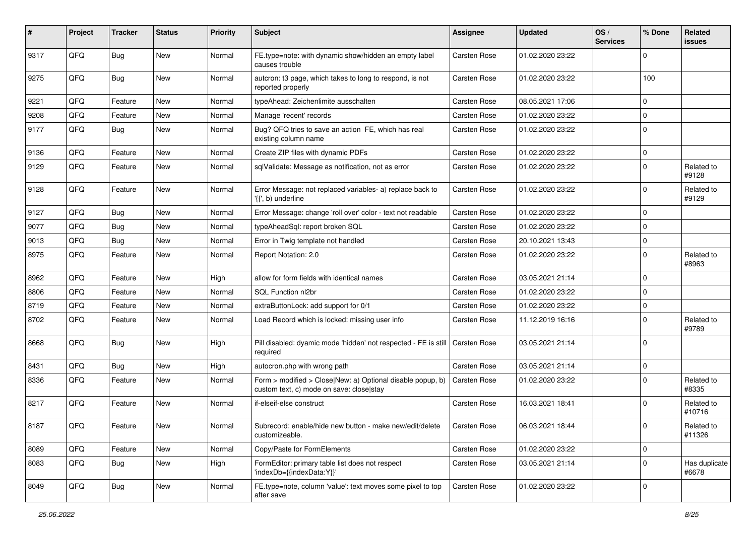| #    | Project        | <b>Tracker</b> | <b>Status</b> | <b>Priority</b> | <b>Subject</b>                                                                                         | Assignee            | <b>Updated</b>   | OS/<br><b>Services</b> | % Done      | Related<br>issues      |
|------|----------------|----------------|---------------|-----------------|--------------------------------------------------------------------------------------------------------|---------------------|------------------|------------------------|-------------|------------------------|
| 9317 | QFQ            | <b>Bug</b>     | <b>New</b>    | Normal          | FE.type=note: with dynamic show/hidden an empty label<br>causes trouble                                | <b>Carsten Rose</b> | 01.02.2020 23:22 |                        | $\Omega$    |                        |
| 9275 | QFQ            | Bug            | New           | Normal          | autcron: t3 page, which takes to long to respond, is not<br>reported properly                          | Carsten Rose        | 01.02.2020 23:22 |                        | 100         |                        |
| 9221 | QFQ            | Feature        | New           | Normal          | typeAhead: Zeichenlimite ausschalten                                                                   | Carsten Rose        | 08.05.2021 17:06 |                        | $\mathbf 0$ |                        |
| 9208 | QFQ            | Feature        | New           | Normal          | Manage 'recent' records                                                                                | Carsten Rose        | 01.02.2020 23:22 |                        | $\mathbf 0$ |                        |
| 9177 | QFQ            | <b>Bug</b>     | New           | Normal          | Bug? QFQ tries to save an action FE, which has real<br>existing column name                            | <b>Carsten Rose</b> | 01.02.2020 23:22 |                        | $\Omega$    |                        |
| 9136 | QFQ            | Feature        | New           | Normal          | Create ZIP files with dynamic PDFs                                                                     | Carsten Rose        | 01.02.2020 23:22 |                        | $\mathbf 0$ |                        |
| 9129 | QFQ            | Feature        | New           | Normal          | sqlValidate: Message as notification, not as error                                                     | <b>Carsten Rose</b> | 01.02.2020 23:22 |                        | 0           | Related to<br>#9128    |
| 9128 | QFQ            | Feature        | New           | Normal          | Error Message: not replaced variables- a) replace back to<br>'{{', b) underline                        | Carsten Rose        | 01.02.2020 23:22 |                        | $\mathbf 0$ | Related to<br>#9129    |
| 9127 | QFQ            | <b>Bug</b>     | <b>New</b>    | Normal          | Error Message: change 'roll over' color - text not readable                                            | Carsten Rose        | 01.02.2020 23:22 |                        | $\Omega$    |                        |
| 9077 | QFQ            | <b>Bug</b>     | <b>New</b>    | Normal          | typeAheadSql: report broken SQL                                                                        | Carsten Rose        | 01.02.2020 23:22 |                        | $\Omega$    |                        |
| 9013 | QFQ            | <b>Bug</b>     | New           | Normal          | Error in Twig template not handled                                                                     | <b>Carsten Rose</b> | 20.10.2021 13:43 |                        | $\mathbf 0$ |                        |
| 8975 | QFQ            | Feature        | New           | Normal          | Report Notation: 2.0                                                                                   | <b>Carsten Rose</b> | 01.02.2020 23:22 |                        | $\Omega$    | Related to<br>#8963    |
| 8962 | QFQ            | Feature        | New           | High            | allow for form fields with identical names                                                             | Carsten Rose        | 03.05.2021 21:14 |                        | $\Omega$    |                        |
| 8806 | QFQ            | Feature        | New           | Normal          | SQL Function nl2br                                                                                     | Carsten Rose        | 01.02.2020 23:22 |                        | $\Omega$    |                        |
| 8719 | QFQ            | Feature        | New           | Normal          | extraButtonLock: add support for 0/1                                                                   | <b>Carsten Rose</b> | 01.02.2020 23:22 |                        | $\mathbf 0$ |                        |
| 8702 | QFQ            | Feature        | New           | Normal          | Load Record which is locked: missing user info                                                         | Carsten Rose        | 11.12.2019 16:16 |                        | $\mathbf 0$ | Related to<br>#9789    |
| 8668 | QFQ            | <b>Bug</b>     | <b>New</b>    | High            | Pill disabled: dyamic mode 'hidden' not respected - FE is still<br>required                            | Carsten Rose        | 03.05.2021 21:14 |                        | $\Omega$    |                        |
| 8431 | QFQ            | <b>Bug</b>     | <b>New</b>    | High            | autocron.php with wrong path                                                                           | Carsten Rose        | 03.05.2021 21:14 |                        | $\mathbf 0$ |                        |
| 8336 | QFQ            | Feature        | New           | Normal          | Form > modified > Close New: a) Optional disable popup, b)<br>custom text, c) mode on save: close stay | Carsten Rose        | 01.02.2020 23:22 |                        | $\Omega$    | Related to<br>#8335    |
| 8217 | QFQ            | Feature        | New           | Normal          | if-elseif-else construct                                                                               | Carsten Rose        | 16.03.2021 18:41 |                        | $\Omega$    | Related to<br>#10716   |
| 8187 | $\mathsf{QFQ}$ | Feature        | New           | Normal          | Subrecord: enable/hide new button - make new/edit/delete<br>customizeable.                             | Carsten Rose        | 06.03.2021 18:44 |                        | $\mathbf 0$ | Related to<br>#11326   |
| 8089 | QFQ            | Feature        | New           | Normal          | Copy/Paste for FormElements                                                                            | Carsten Rose        | 01.02.2020 23:22 |                        | 0           |                        |
| 8083 | QFQ            | <b>Bug</b>     | New           | High            | FormEditor: primary table list does not respect<br>'indexDb={{indexData:Y}}'                           | Carsten Rose        | 03.05.2021 21:14 |                        | $\Omega$    | Has duplicate<br>#6678 |
| 8049 | QFQ            | <b>Bug</b>     | New           | Normal          | FE.type=note, column 'value': text moves some pixel to top<br>after save                               | Carsten Rose        | 01.02.2020 23:22 |                        | $\mathbf 0$ |                        |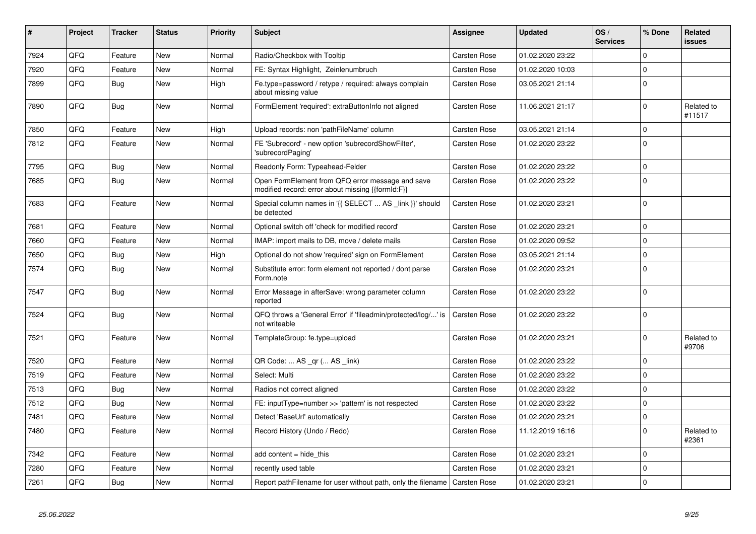| #    | Project | <b>Tracker</b> | <b>Status</b> | <b>Priority</b> | <b>Subject</b>                                                                                        | Assignee            | <b>Updated</b>   | OS/<br><b>Services</b> | % Done      | Related<br><b>issues</b> |
|------|---------|----------------|---------------|-----------------|-------------------------------------------------------------------------------------------------------|---------------------|------------------|------------------------|-------------|--------------------------|
| 7924 | QFQ     | Feature        | <b>New</b>    | Normal          | Radio/Checkbox with Tooltip                                                                           | Carsten Rose        | 01.02.2020 23:22 |                        | $\mathbf 0$ |                          |
| 7920 | QFQ     | Feature        | New           | Normal          | FE: Syntax Highlight, Zeinlenumbruch                                                                  | Carsten Rose        | 01.02.2020 10:03 |                        | $\Omega$    |                          |
| 7899 | QFQ     | <b>Bug</b>     | New           | High            | Fe.type=password / retype / required: always complain<br>about missing value                          | <b>Carsten Rose</b> | 03.05.2021 21:14 |                        | $\mathbf 0$ |                          |
| 7890 | QFQ     | <b>Bug</b>     | <b>New</b>    | Normal          | FormElement 'required': extraButtonInfo not aligned                                                   | <b>Carsten Rose</b> | 11.06.2021 21:17 |                        | $\Omega$    | Related to<br>#11517     |
| 7850 | QFQ     | Feature        | <b>New</b>    | High            | Upload records: non 'pathFileName' column                                                             | <b>Carsten Rose</b> | 03.05.2021 21:14 |                        | $\mathbf 0$ |                          |
| 7812 | QFQ     | Feature        | <b>New</b>    | Normal          | FE 'Subrecord' - new option 'subrecordShowFilter',<br>'subrecordPaging'                               | Carsten Rose        | 01.02.2020 23:22 |                        | $\Omega$    |                          |
| 7795 | QFQ     | Bug            | <b>New</b>    | Normal          | Readonly Form: Typeahead-Felder                                                                       | <b>Carsten Rose</b> | 01.02.2020 23:22 |                        | $\mathbf 0$ |                          |
| 7685 | QFQ     | Bug            | New           | Normal          | Open FormElement from QFQ error message and save<br>modified record: error about missing {{formId:F}} | <b>Carsten Rose</b> | 01.02.2020 23:22 |                        | $\Omega$    |                          |
| 7683 | QFQ     | Feature        | New           | Normal          | Special column names in '{{ SELECT  AS _link }}' should<br>be detected                                | Carsten Rose        | 01.02.2020 23:21 |                        | $\mathbf 0$ |                          |
| 7681 | QFQ     | Feature        | New           | Normal          | Optional switch off 'check for modified record'                                                       | Carsten Rose        | 01.02.2020 23:21 |                        | $\mathbf 0$ |                          |
| 7660 | QFQ     | Feature        | <b>New</b>    | Normal          | IMAP: import mails to DB, move / delete mails                                                         | Carsten Rose        | 01.02.2020 09:52 |                        | $\mathbf 0$ |                          |
| 7650 | QFQ     | Bug            | <b>New</b>    | High            | Optional do not show 'required' sign on FormElement                                                   | Carsten Rose        | 03.05.2021 21:14 |                        | $\mathbf 0$ |                          |
| 7574 | QFQ     | <b>Bug</b>     | <b>New</b>    | Normal          | Substitute error: form element not reported / dont parse<br>Form.note                                 | Carsten Rose        | 01.02.2020 23:21 |                        | $\mathbf 0$ |                          |
| 7547 | QFQ     | <b>Bug</b>     | <b>New</b>    | Normal          | Error Message in afterSave: wrong parameter column<br>reported                                        | <b>Carsten Rose</b> | 01.02.2020 23:22 |                        | $\Omega$    |                          |
| 7524 | QFQ     | <b>Bug</b>     | New           | Normal          | QFQ throws a 'General Error' if 'fileadmin/protected/log/' is<br>not writeable                        | Carsten Rose        | 01.02.2020 23:22 |                        | $\Omega$    |                          |
| 7521 | QFQ     | Feature        | New           | Normal          | TemplateGroup: fe.type=upload                                                                         | Carsten Rose        | 01.02.2020 23:21 |                        | $\mathbf 0$ | Related to<br>#9706      |
| 7520 | QFQ     | Feature        | New           | Normal          | QR Code:  AS _qr ( AS _link)                                                                          | Carsten Rose        | 01.02.2020 23:22 |                        | $\mathbf 0$ |                          |
| 7519 | QFQ     | Feature        | <b>New</b>    | Normal          | Select: Multi                                                                                         | Carsten Rose        | 01.02.2020 23:22 |                        | $\mathbf 0$ |                          |
| 7513 | QFQ     | Bug            | New           | Normal          | Radios not correct aligned                                                                            | <b>Carsten Rose</b> | 01.02.2020 23:22 |                        | $\mathbf 0$ |                          |
| 7512 | QFQ     | <b>Bug</b>     | New           | Normal          | FE: inputType=number >> 'pattern' is not respected                                                    | Carsten Rose        | 01.02.2020 23:22 |                        | $\pmb{0}$   |                          |
| 7481 | QFQ     | Feature        | New           | Normal          | Detect 'BaseUrl' automatically                                                                        | Carsten Rose        | 01.02.2020 23:21 |                        | 0           |                          |
| 7480 | QFQ     | Feature        | New           | Normal          | Record History (Undo / Redo)                                                                          | Carsten Rose        | 11.12.2019 16:16 |                        | $\pmb{0}$   | Related to<br>#2361      |
| 7342 | QFQ     | Feature        | New           | Normal          | add content = hide this                                                                               | Carsten Rose        | 01.02.2020 23:21 |                        | $\mathbf 0$ |                          |
| 7280 | QFQ     | Feature        | New           | Normal          | recently used table                                                                                   | <b>Carsten Rose</b> | 01.02.2020 23:21 |                        | $\mathbf 0$ |                          |
| 7261 | QFQ     | Bug            | New           | Normal          | Report pathFilename for user without path, only the filename   Carsten Rose                           |                     | 01.02.2020 23:21 |                        | $\mathbf 0$ |                          |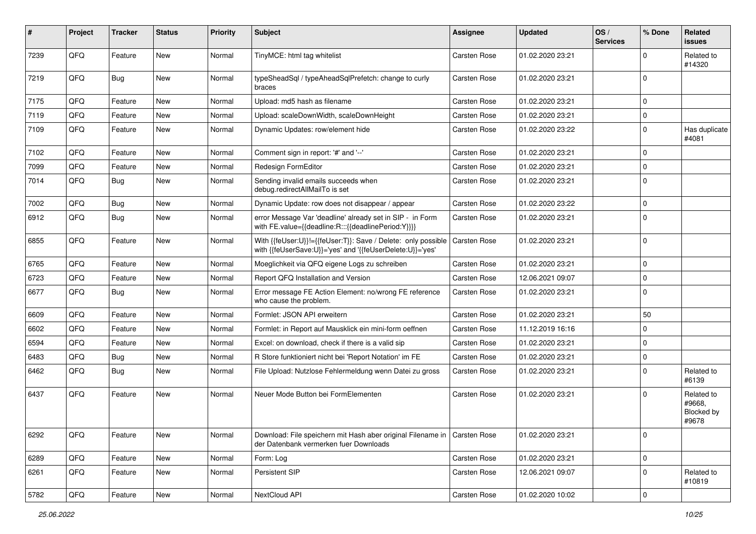| #    | Project | <b>Tracker</b> | <b>Status</b> | <b>Priority</b> | Subject                                                                                                                    | <b>Assignee</b>     | <b>Updated</b>   | OS/<br><b>Services</b> | % Done      | Related<br>issues                           |
|------|---------|----------------|---------------|-----------------|----------------------------------------------------------------------------------------------------------------------------|---------------------|------------------|------------------------|-------------|---------------------------------------------|
| 7239 | QFQ     | Feature        | <b>New</b>    | Normal          | TinyMCE: html tag whitelist                                                                                                | <b>Carsten Rose</b> | 01.02.2020 23:21 |                        | $\Omega$    | Related to<br>#14320                        |
| 7219 | QFQ     | Bug            | New           | Normal          | typeSheadSql / typeAheadSqlPrefetch: change to curly<br>braces                                                             | Carsten Rose        | 01.02.2020 23:21 |                        | $\Omega$    |                                             |
| 7175 | QFQ     | Feature        | <b>New</b>    | Normal          | Upload: md5 hash as filename                                                                                               | Carsten Rose        | 01.02.2020 23:21 |                        | $\Omega$    |                                             |
| 7119 | QFQ     | Feature        | New           | Normal          | Upload: scaleDownWidth, scaleDownHeight                                                                                    | Carsten Rose        | 01.02.2020 23:21 |                        | $\Omega$    |                                             |
| 7109 | QFQ     | Feature        | New           | Normal          | Dynamic Updates: row/element hide                                                                                          | Carsten Rose        | 01.02.2020 23:22 |                        | 0           | Has duplicate<br>#4081                      |
| 7102 | QFQ     | Feature        | New           | Normal          | Comment sign in report: '#' and '--'                                                                                       | Carsten Rose        | 01.02.2020 23:21 |                        | $\Omega$    |                                             |
| 7099 | QFQ     | Feature        | New           | Normal          | Redesign FormEditor                                                                                                        | Carsten Rose        | 01.02.2020 23:21 |                        | $\Omega$    |                                             |
| 7014 | QFQ     | Bug            | New           | Normal          | Sending invalid emails succeeds when<br>debug.redirectAllMailTo is set                                                     | Carsten Rose        | 01.02.2020 23:21 |                        | $\Omega$    |                                             |
| 7002 | QFQ     | <b>Bug</b>     | New           | Normal          | Dynamic Update: row does not disappear / appear                                                                            | Carsten Rose        | 01.02.2020 23:22 |                        | $\Omega$    |                                             |
| 6912 | QFQ     | Bug            | New           | Normal          | error Message Var 'deadline' already set in SIP - in Form<br>with FE.value={{deadline:R:::{{deadlinePeriod:Y}}}}           | Carsten Rose        | 01.02.2020 23:21 |                        | $\Omega$    |                                             |
| 6855 | QFQ     | Feature        | <b>New</b>    | Normal          | With {{feUser:U}}!={{feUser:T}}: Save / Delete: only possible<br>with {{feUserSave:U}}='yes' and '{{feUserDelete:U}}='yes' | Carsten Rose        | 01.02.2020 23:21 |                        | $\Omega$    |                                             |
| 6765 | QFQ     | Feature        | New           | Normal          | Moeglichkeit via QFQ eigene Logs zu schreiben                                                                              | Carsten Rose        | 01.02.2020 23:21 |                        | $\mathbf 0$ |                                             |
| 6723 | QFQ     | Feature        | New           | Normal          | Report QFQ Installation and Version                                                                                        | Carsten Rose        | 12.06.2021 09:07 |                        | $\Omega$    |                                             |
| 6677 | QFQ     | <b>Bug</b>     | New           | Normal          | Error message FE Action Element: no/wrong FE reference<br>who cause the problem.                                           | Carsten Rose        | 01.02.2020 23:21 |                        | $\Omega$    |                                             |
| 6609 | QFQ     | Feature        | <b>New</b>    | Normal          | Formlet: JSON API erweitern                                                                                                | Carsten Rose        | 01.02.2020 23:21 |                        | 50          |                                             |
| 6602 | QFQ     | Feature        | New           | Normal          | Formlet: in Report auf Mausklick ein mini-form oeffnen                                                                     | Carsten Rose        | 11.12.2019 16:16 |                        | $\Omega$    |                                             |
| 6594 | QFQ     | Feature        | New           | Normal          | Excel: on download, check if there is a valid sip                                                                          | Carsten Rose        | 01.02.2020 23:21 |                        | $\Omega$    |                                             |
| 6483 | QFQ     | <b>Bug</b>     | New           | Normal          | R Store funktioniert nicht bei 'Report Notation' im FE                                                                     | Carsten Rose        | 01.02.2020 23:21 |                        | $\Omega$    |                                             |
| 6462 | QFQ     | <b>Bug</b>     | New           | Normal          | File Upload: Nutzlose Fehlermeldung wenn Datei zu gross                                                                    | Carsten Rose        | 01.02.2020 23:21 |                        | $\Omega$    | Related to<br>#6139                         |
| 6437 | QFQ     | Feature        | New           | Normal          | Neuer Mode Button bei FormElementen                                                                                        | Carsten Rose        | 01.02.2020 23:21 |                        | $\Omega$    | Related to<br>#9668,<br>Blocked by<br>#9678 |
| 6292 | QFQ     | Feature        | New           | Normal          | Download: File speichern mit Hash aber original Filename in   Carsten Rose<br>der Datenbank vermerken fuer Downloads       |                     | 01.02.2020 23:21 |                        | $\mathbf 0$ |                                             |
| 6289 | QFQ     | Feature        | New           | Normal          | Form: Log                                                                                                                  | Carsten Rose        | 01.02.2020 23:21 |                        | 0           |                                             |
| 6261 | QFQ     | Feature        | New           | Normal          | Persistent SIP                                                                                                             | Carsten Rose        | 12.06.2021 09:07 |                        | 0           | Related to<br>#10819                        |
| 5782 | QFQ     | Feature        | New           | Normal          | NextCloud API                                                                                                              | Carsten Rose        | 01.02.2020 10:02 |                        | $\pmb{0}$   |                                             |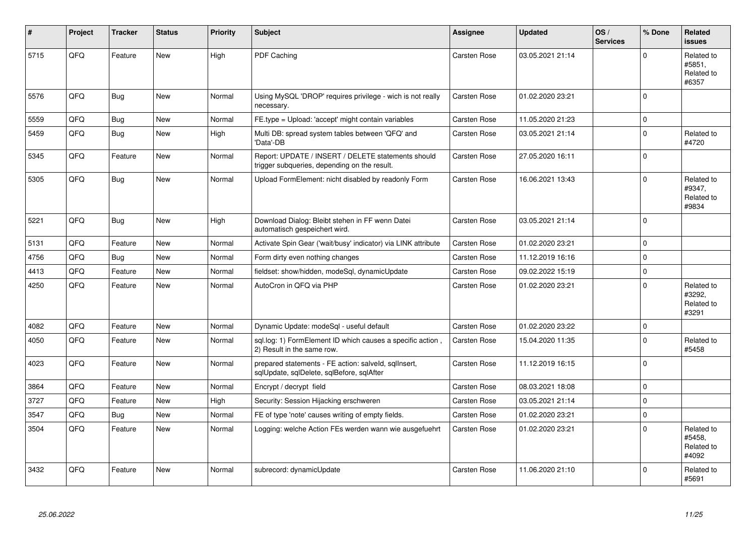| $\vert$ # | Project | <b>Tracker</b> | <b>Status</b> | <b>Priority</b> | Subject                                                                                            | Assignee            | <b>Updated</b>   | OS/<br><b>Services</b> | % Done      | Related<br><b>issues</b>                    |
|-----------|---------|----------------|---------------|-----------------|----------------------------------------------------------------------------------------------------|---------------------|------------------|------------------------|-------------|---------------------------------------------|
| 5715      | QFQ     | Feature        | <b>New</b>    | High            | PDF Caching                                                                                        | Carsten Rose        | 03.05.2021 21:14 |                        | $\Omega$    | Related to<br>#5851,<br>Related to<br>#6357 |
| 5576      | QFQ     | Bug            | <b>New</b>    | Normal          | Using MySQL 'DROP' requires privilege - wich is not really<br>necessary.                           | <b>Carsten Rose</b> | 01.02.2020 23:21 |                        | $\mathbf 0$ |                                             |
| 5559      | QFQ     | <b>Bug</b>     | New           | Normal          | FE.type = Upload: 'accept' might contain variables                                                 | Carsten Rose        | 11.05.2020 21:23 |                        | $\pmb{0}$   |                                             |
| 5459      | QFQ     | Bug            | <b>New</b>    | High            | Multi DB: spread system tables between 'QFQ' and<br>Data'-DB                                       | Carsten Rose        | 03.05.2021 21:14 |                        | $\mathbf 0$ | Related to<br>#4720                         |
| 5345      | QFQ     | Feature        | New           | Normal          | Report: UPDATE / INSERT / DELETE statements should<br>trigger subqueries, depending on the result. | Carsten Rose        | 27.05.2020 16:11 |                        | $\pmb{0}$   |                                             |
| 5305      | QFQ     | <b>Bug</b>     | <b>New</b>    | Normal          | Upload FormElement: nicht disabled by readonly Form                                                | Carsten Rose        | 16.06.2021 13:43 |                        | $\Omega$    | Related to<br>#9347,<br>Related to<br>#9834 |
| 5221      | QFQ     | Bug            | New           | High            | Download Dialog: Bleibt stehen in FF wenn Datei<br>automatisch gespeichert wird.                   | Carsten Rose        | 03.05.2021 21:14 |                        | $\mathbf 0$ |                                             |
| 5131      | QFQ     | Feature        | New           | Normal          | Activate Spin Gear ('wait/busy' indicator) via LINK attribute                                      | <b>Carsten Rose</b> | 01.02.2020 23:21 |                        | $\pmb{0}$   |                                             |
| 4756      | QFQ     | Bug            | New           | Normal          | Form dirty even nothing changes                                                                    | Carsten Rose        | 11.12.2019 16:16 |                        | $\pmb{0}$   |                                             |
| 4413      | QFQ     | Feature        | New           | Normal          | fieldset: show/hidden, modeSql, dynamicUpdate                                                      | Carsten Rose        | 09.02.2022 15:19 |                        | $\pmb{0}$   |                                             |
| 4250      | QFQ     | Feature        | New           | Normal          | AutoCron in QFQ via PHP                                                                            | Carsten Rose        | 01.02.2020 23:21 |                        | $\Omega$    | Related to<br>#3292,<br>Related to<br>#3291 |
| 4082      | QFQ     | Feature        | <b>New</b>    | Normal          | Dynamic Update: modeSql - useful default                                                           | Carsten Rose        | 01.02.2020 23:22 |                        | $\mathbf 0$ |                                             |
| 4050      | QFQ     | Feature        | New           | Normal          | sql.log: 1) FormElement ID which causes a specific action<br>2) Result in the same row.            | Carsten Rose        | 15.04.2020 11:35 |                        | $\mathbf 0$ | Related to<br>#5458                         |
| 4023      | QFQ     | Feature        | New           | Normal          | prepared statements - FE action: salveld, sqlInsert,<br>sqlUpdate, sqlDelete, sqlBefore, sqlAfter  | Carsten Rose        | 11.12.2019 16:15 |                        | $\mathbf 0$ |                                             |
| 3864      | QFQ     | Feature        | New           | Normal          | Encrypt / decrypt field                                                                            | <b>Carsten Rose</b> | 08.03.2021 18:08 |                        | $\pmb{0}$   |                                             |
| 3727      | QFQ     | Feature        | New           | High            | Security: Session Hijacking erschweren                                                             | Carsten Rose        | 03.05.2021 21:14 |                        | $\pmb{0}$   |                                             |
| 3547      | QFQ     | <b>Bug</b>     | New           | Normal          | FE of type 'note' causes writing of empty fields.                                                  | Carsten Rose        | 01.02.2020 23:21 |                        | $\mathbf 0$ |                                             |
| 3504      | QFQ     | Feature        | New           | Normal          | Logging: welche Action FEs werden wann wie ausgefuehrt                                             | Carsten Rose        | 01.02.2020 23:21 |                        | $\mathbf 0$ | Related to<br>#5458.<br>Related to<br>#4092 |
| 3432      | QFQ     | Feature        | <b>New</b>    | Normal          | subrecord: dynamicUpdate                                                                           | Carsten Rose        | 11.06.2020 21:10 |                        | $\Omega$    | Related to<br>#5691                         |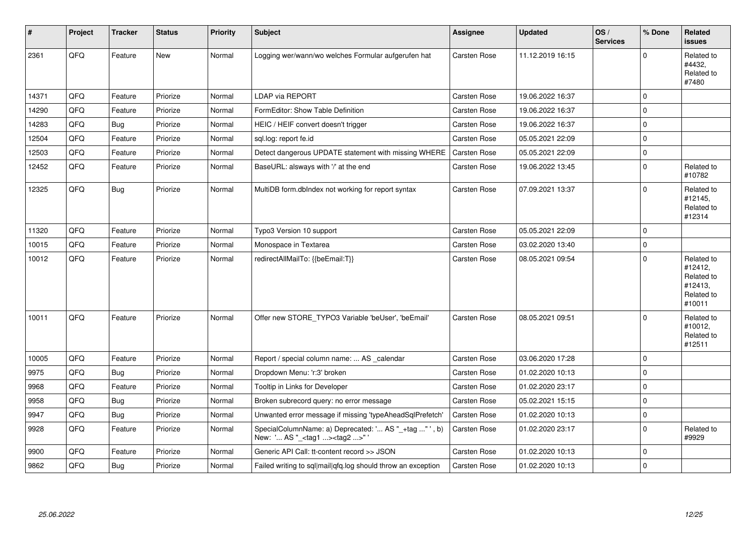| $\vert$ # | Project | <b>Tracker</b> | <b>Status</b> | <b>Priority</b> | Subject                                                                                            | Assignee            | <b>Updated</b>   | OS/<br><b>Services</b> | % Done       | Related<br><b>issues</b>                                               |
|-----------|---------|----------------|---------------|-----------------|----------------------------------------------------------------------------------------------------|---------------------|------------------|------------------------|--------------|------------------------------------------------------------------------|
| 2361      | QFQ     | Feature        | <b>New</b>    | Normal          | Logging wer/wann/wo welches Formular aufgerufen hat                                                | Carsten Rose        | 11.12.2019 16:15 |                        | $\Omega$     | Related to<br>#4432,<br>Related to<br>#7480                            |
| 14371     | QFQ     | Feature        | Priorize      | Normal          | <b>LDAP via REPORT</b>                                                                             | Carsten Rose        | 19.06.2022 16:37 |                        | $\mathbf 0$  |                                                                        |
| 14290     | QFQ     | Feature        | Priorize      | Normal          | FormEditor: Show Table Definition                                                                  | Carsten Rose        | 19.06.2022 16:37 |                        | $\mathbf 0$  |                                                                        |
| 14283     | QFQ     | Bug            | Priorize      | Normal          | HEIC / HEIF convert doesn't trigger                                                                | Carsten Rose        | 19.06.2022 16:37 |                        | $\mathbf 0$  |                                                                        |
| 12504     | QFQ     | Feature        | Priorize      | Normal          | sql.log: report fe.id                                                                              | Carsten Rose        | 05.05.2021 22:09 |                        | $\mathbf 0$  |                                                                        |
| 12503     | QFQ     | Feature        | Priorize      | Normal          | Detect dangerous UPDATE statement with missing WHERE                                               | <b>Carsten Rose</b> | 05.05.2021 22:09 |                        | $\mathbf 0$  |                                                                        |
| 12452     | QFQ     | Feature        | Priorize      | Normal          | BaseURL: alsways with '/' at the end                                                               | <b>Carsten Rose</b> | 19.06.2022 13:45 |                        | $\Omega$     | Related to<br>#10782                                                   |
| 12325     | QFQ     | <b>Bug</b>     | Priorize      | Normal          | MultiDB form.dblndex not working for report syntax                                                 | Carsten Rose        | 07.09.2021 13:37 |                        | $\mathbf 0$  | Related to<br>#12145,<br>Related to<br>#12314                          |
| 11320     | QFQ     | Feature        | Priorize      | Normal          | Typo3 Version 10 support                                                                           | Carsten Rose        | 05.05.2021 22:09 |                        | $\mathbf 0$  |                                                                        |
| 10015     | QFQ     | Feature        | Priorize      | Normal          | Monospace in Textarea                                                                              | Carsten Rose        | 03.02.2020 13:40 |                        | $\mathbf{0}$ |                                                                        |
| 10012     | QFQ     | Feature        | Priorize      | Normal          | redirectAllMailTo: {{beEmail:T}}                                                                   | Carsten Rose        | 08.05.2021 09:54 |                        | $\mathbf 0$  | Related to<br>#12412,<br>Related to<br>#12413,<br>Related to<br>#10011 |
| 10011     | QFQ     | Feature        | Priorize      | Normal          | Offer new STORE_TYPO3 Variable 'beUser', 'beEmail'                                                 | <b>Carsten Rose</b> | 08.05.2021 09:51 |                        | $\Omega$     | Related to<br>#10012,<br>Related to<br>#12511                          |
| 10005     | QFQ     | Feature        | Priorize      | Normal          | Report / special column name:  AS _calendar                                                        | <b>Carsten Rose</b> | 03.06.2020 17:28 |                        | $\mathbf 0$  |                                                                        |
| 9975      | QFQ     | <b>Bug</b>     | Priorize      | Normal          | Dropdown Menu: 'r:3' broken                                                                        | Carsten Rose        | 01.02.2020 10:13 |                        | $\mathbf 0$  |                                                                        |
| 9968      | QFQ     | Feature        | Priorize      | Normal          | Tooltip in Links for Developer                                                                     | Carsten Rose        | 01.02.2020 23:17 |                        | $\mathbf 0$  |                                                                        |
| 9958      | QFQ     | <b>Bug</b>     | Priorize      | Normal          | Broken subrecord query: no error message                                                           | Carsten Rose        | 05.02.2021 15:15 |                        | $\mathbf 0$  |                                                                        |
| 9947      | QFQ     | <b>Bug</b>     | Priorize      | Normal          | Unwanted error message if missing 'typeAheadSqlPrefetch'                                           | Carsten Rose        | 01.02.2020 10:13 |                        | $\mathbf 0$  |                                                                        |
| 9928      | QFQ     | Feature        | Priorize      | Normal          | SpecialColumnName: a) Deprecated: ' AS "_+tag " ' , b)<br>New: ' AS "_ <tag1><tag2>"</tag2></tag1> | Carsten Rose        | 01.02.2020 23:17 |                        | $\mathbf 0$  | Related to<br>#9929                                                    |
| 9900      | QFQ     | Feature        | Priorize      | Normal          | Generic API Call: tt-content record >> JSON                                                        | Carsten Rose        | 01.02.2020 10:13 |                        | $\mathbf 0$  |                                                                        |
| 9862      | QFQ     | <b>Bug</b>     | Priorize      | Normal          | Failed writing to sql mail qfq.log should throw an exception                                       | Carsten Rose        | 01.02.2020 10:13 |                        | $\mathbf 0$  |                                                                        |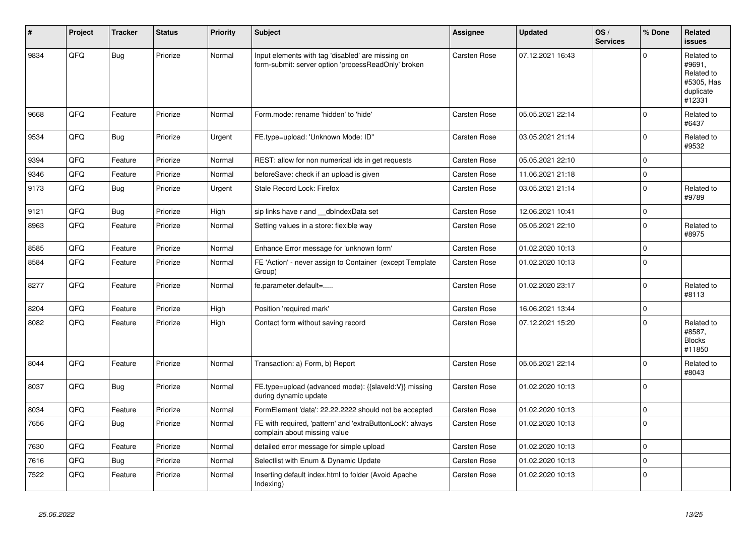| #    | Project | <b>Tracker</b> | <b>Status</b> | <b>Priority</b> | <b>Subject</b>                                                                                           | Assignee            | <b>Updated</b>   | OS/<br><b>Services</b> | % Done   | Related<br><b>issues</b>                                                |
|------|---------|----------------|---------------|-----------------|----------------------------------------------------------------------------------------------------------|---------------------|------------------|------------------------|----------|-------------------------------------------------------------------------|
| 9834 | QFQ     | <b>Bug</b>     | Priorize      | Normal          | Input elements with tag 'disabled' are missing on<br>form-submit: server option 'processReadOnly' broken | Carsten Rose        | 07.12.2021 16:43 |                        | $\Omega$ | Related to<br>#9691,<br>Related to<br>#5305, Has<br>duplicate<br>#12331 |
| 9668 | QFQ     | Feature        | Priorize      | Normal          | Form.mode: rename 'hidden' to 'hide'                                                                     | Carsten Rose        | 05.05.2021 22:14 |                        | $\Omega$ | Related to<br>#6437                                                     |
| 9534 | QFQ     | <b>Bug</b>     | Priorize      | Urgent          | FE.type=upload: 'Unknown Mode: ID"                                                                       | <b>Carsten Rose</b> | 03.05.2021 21:14 |                        | $\Omega$ | Related to<br>#9532                                                     |
| 9394 | QFQ     | Feature        | Priorize      | Normal          | REST: allow for non numerical ids in get requests                                                        | Carsten Rose        | 05.05.2021 22:10 |                        | $\Omega$ |                                                                         |
| 9346 | QFQ     | Feature        | Priorize      | Normal          | beforeSave: check if an upload is given                                                                  | Carsten Rose        | 11.06.2021 21:18 |                        | 0        |                                                                         |
| 9173 | QFQ     | <b>Bug</b>     | Priorize      | Urgent          | Stale Record Lock: Firefox                                                                               | <b>Carsten Rose</b> | 03.05.2021 21:14 |                        | $\Omega$ | Related to<br>#9789                                                     |
| 9121 | QFQ     | <b>Bug</b>     | Priorize      | High            | sip links have r and __dbIndexData set                                                                   | Carsten Rose        | 12.06.2021 10:41 |                        | $\Omega$ |                                                                         |
| 8963 | QFQ     | Feature        | Priorize      | Normal          | Setting values in a store: flexible way                                                                  | Carsten Rose        | 05.05.2021 22:10 |                        | $\Omega$ | Related to<br>#8975                                                     |
| 8585 | QFQ     | Feature        | Priorize      | Normal          | Enhance Error message for 'unknown form'                                                                 | <b>Carsten Rose</b> | 01.02.2020 10:13 |                        | $\Omega$ |                                                                         |
| 8584 | QFQ     | Feature        | Priorize      | Normal          | FE 'Action' - never assign to Container (except Template<br>Group)                                       | Carsten Rose        | 01.02.2020 10:13 |                        | $\Omega$ |                                                                         |
| 8277 | QFQ     | Feature        | Priorize      | Normal          | fe.parameter.default=                                                                                    | Carsten Rose        | 01.02.2020 23:17 |                        | $\Omega$ | Related to<br>#8113                                                     |
| 8204 | QFQ     | Feature        | Priorize      | High            | Position 'required mark'                                                                                 | Carsten Rose        | 16.06.2021 13:44 |                        | 0        |                                                                         |
| 8082 | QFQ     | Feature        | Priorize      | High            | Contact form without saving record                                                                       | Carsten Rose        | 07.12.2021 15:20 |                        | $\Omega$ | Related to<br>#8587,<br><b>Blocks</b><br>#11850                         |
| 8044 | QFQ     | Feature        | Priorize      | Normal          | Transaction: a) Form, b) Report                                                                          | Carsten Rose        | 05.05.2021 22:14 |                        | $\Omega$ | Related to<br>#8043                                                     |
| 8037 | QFQ     | <b>Bug</b>     | Priorize      | Normal          | FE.type=upload (advanced mode): {{slaveld:V}} missing<br>during dynamic update                           | Carsten Rose        | 01.02.2020 10:13 |                        | $\Omega$ |                                                                         |
| 8034 | QFQ     | Feature        | Priorize      | Normal          | FormElement 'data': 22.22.2222 should not be accepted                                                    | Carsten Rose        | 01.02.2020 10:13 |                        | $\Omega$ |                                                                         |
| 7656 | QFQ     | <b>Bug</b>     | Priorize      | Normal          | FE with required, 'pattern' and 'extraButtonLock': always<br>complain about missing value                | Carsten Rose        | 01.02.2020 10:13 |                        | $\Omega$ |                                                                         |
| 7630 | QFQ     | Feature        | Priorize      | Normal          | detailed error message for simple upload                                                                 | Carsten Rose        | 01.02.2020 10:13 |                        | $\Omega$ |                                                                         |
| 7616 | QFQ     | Bug            | Priorize      | Normal          | Selectlist with Enum & Dynamic Update                                                                    | Carsten Rose        | 01.02.2020 10:13 |                        | $\Omega$ |                                                                         |
| 7522 | QFQ     | Feature        | Priorize      | Normal          | Inserting default index.html to folder (Avoid Apache<br>Indexing)                                        | Carsten Rose        | 01.02.2020 10:13 |                        | $\Omega$ |                                                                         |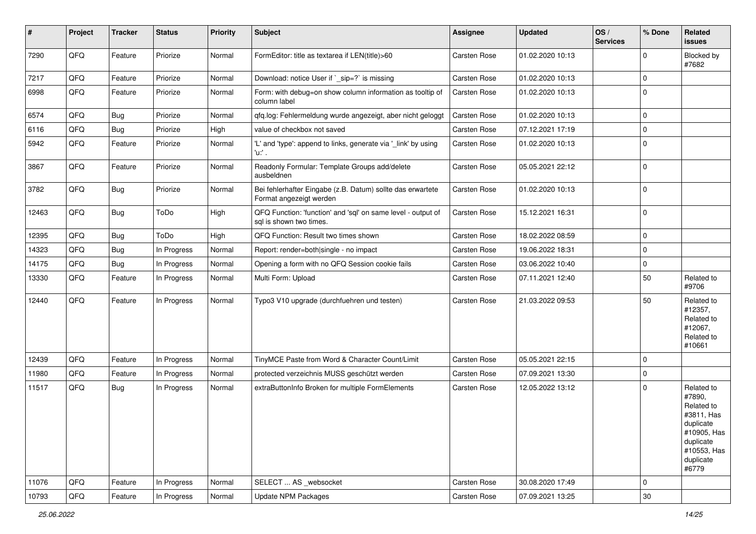| #     | Project | <b>Tracker</b> | <b>Status</b> | <b>Priority</b> | <b>Subject</b>                                                                          | <b>Assignee</b>     | <b>Updated</b>   | OS/<br><b>Services</b> | % Done   | Related<br>issues                                                                                                              |
|-------|---------|----------------|---------------|-----------------|-----------------------------------------------------------------------------------------|---------------------|------------------|------------------------|----------|--------------------------------------------------------------------------------------------------------------------------------|
| 7290  | QFQ     | Feature        | Priorize      | Normal          | FormEditor: title as textarea if LEN(title)>60                                          | Carsten Rose        | 01.02.2020 10:13 |                        | $\Omega$ | Blocked by<br>#7682                                                                                                            |
| 7217  | QFQ     | Feature        | Priorize      | Normal          | Download: notice User if `_sip=?` is missing                                            | Carsten Rose        | 01.02.2020 10:13 |                        | $\Omega$ |                                                                                                                                |
| 6998  | QFQ     | Feature        | Priorize      | Normal          | Form: with debug=on show column information as tooltip of<br>column label               | Carsten Rose        | 01.02.2020 10:13 |                        | $\Omega$ |                                                                                                                                |
| 6574  | QFQ     | <b>Bug</b>     | Priorize      | Normal          | qfq.log: Fehlermeldung wurde angezeigt, aber nicht geloggt                              | Carsten Rose        | 01.02.2020 10:13 |                        | $\Omega$ |                                                                                                                                |
| 6116  | QFQ     | <b>Bug</b>     | Priorize      | High            | value of checkbox not saved                                                             | Carsten Rose        | 07.12.2021 17:19 |                        | $\Omega$ |                                                                                                                                |
| 5942  | QFQ     | Feature        | Priorize      | Normal          | 'L' and 'type': append to links, generate via '_link' by using<br>'u:' .                | Carsten Rose        | 01.02.2020 10:13 |                        | $\Omega$ |                                                                                                                                |
| 3867  | QFQ     | Feature        | Priorize      | Normal          | Readonly Formular: Template Groups add/delete<br>ausbeldnen                             | Carsten Rose        | 05.05.2021 22:12 |                        | $\Omega$ |                                                                                                                                |
| 3782  | QFQ     | <b>Bug</b>     | Priorize      | Normal          | Bei fehlerhafter Eingabe (z.B. Datum) sollte das erwartete<br>Format angezeigt werden   | Carsten Rose        | 01.02.2020 10:13 |                        | $\Omega$ |                                                                                                                                |
| 12463 | QFQ     | <b>Bug</b>     | ToDo          | High            | QFQ Function: 'function' and 'sql' on same level - output of<br>sal is shown two times. | Carsten Rose        | 15.12.2021 16:31 |                        | $\Omega$ |                                                                                                                                |
| 12395 | QFQ     | <b>Bug</b>     | ToDo          | High            | QFQ Function: Result two times shown                                                    | Carsten Rose        | 18.02.2022 08:59 |                        | $\Omega$ |                                                                                                                                |
| 14323 | QFQ     | <b>Bug</b>     | In Progress   | Normal          | Report: render=both single - no impact                                                  | Carsten Rose        | 19.06.2022 18:31 |                        | $\Omega$ |                                                                                                                                |
| 14175 | QFQ     | <b>Bug</b>     | In Progress   | Normal          | Opening a form with no QFQ Session cookie fails                                         | Carsten Rose        | 03.06.2022 10:40 |                        | 0        |                                                                                                                                |
| 13330 | QFQ     | Feature        | In Progress   | Normal          | Multi Form: Upload                                                                      | Carsten Rose        | 07.11.2021 12:40 |                        | 50       | Related to<br>#9706                                                                                                            |
| 12440 | QFQ     | Feature        | In Progress   | Normal          | Typo3 V10 upgrade (durchfuehren und testen)                                             | Carsten Rose        | 21.03.2022 09:53 |                        | 50       | Related to<br>#12357,<br>Related to<br>#12067,<br>Related to<br>#10661                                                         |
| 12439 | QFQ     | Feature        | In Progress   | Normal          | TinyMCE Paste from Word & Character Count/Limit                                         | <b>Carsten Rose</b> | 05.05.2021 22:15 |                        | $\Omega$ |                                                                                                                                |
| 11980 | QFQ     | Feature        | In Progress   | Normal          | protected verzeichnis MUSS geschützt werden                                             | Carsten Rose        | 07.09.2021 13:30 |                        | $\Omega$ |                                                                                                                                |
| 11517 | QFQ     | <b>Bug</b>     | In Progress   | Normal          | extraButtonInfo Broken for multiple FormElements                                        | Carsten Rose        | 12.05.2022 13:12 |                        | $\Omega$ | Related to<br>#7890,<br>Related to<br>#3811, Has<br>duplicate<br>#10905, Has<br>duplicate<br>#10553, Has<br>duplicate<br>#6779 |
| 11076 | QFQ     | Feature        | In Progress   | Normal          | SELECT  AS _websocket                                                                   | Carsten Rose        | 30.08.2020 17:49 |                        | $\Omega$ |                                                                                                                                |
| 10793 | QFG     | Feature        | In Progress   | Normal          | <b>Update NPM Packages</b>                                                              | Carsten Rose        | 07.09.2021 13:25 |                        | $30\,$   |                                                                                                                                |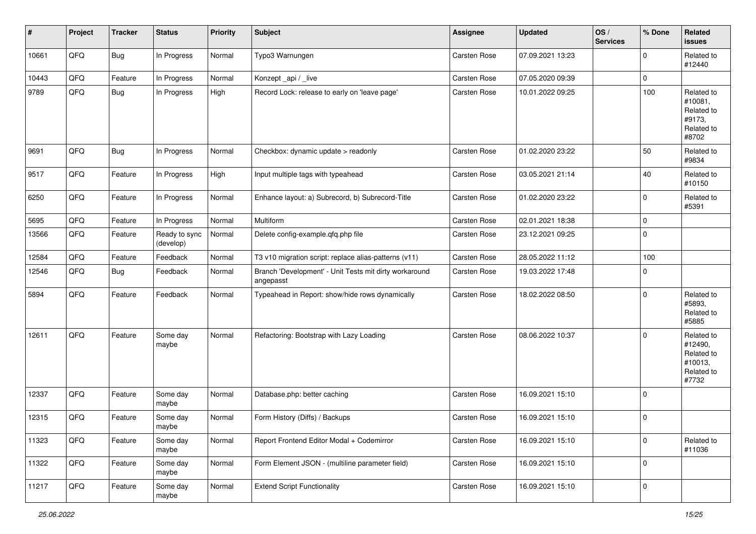| #     | Project | <b>Tracker</b> | <b>Status</b>              | <b>Priority</b> | <b>Subject</b>                                                      | Assignee            | <b>Updated</b>   | OS/<br><b>Services</b> | % Done      | Related<br>issues                                                     |
|-------|---------|----------------|----------------------------|-----------------|---------------------------------------------------------------------|---------------------|------------------|------------------------|-------------|-----------------------------------------------------------------------|
| 10661 | QFQ     | <b>Bug</b>     | In Progress                | Normal          | Typo3 Warnungen                                                     | Carsten Rose        | 07.09.2021 13:23 |                        | $\Omega$    | Related to<br>#12440                                                  |
| 10443 | QFQ     | Feature        | In Progress                | Normal          | Konzept_api / _live                                                 | Carsten Rose        | 07.05.2020 09:39 |                        | 0           |                                                                       |
| 9789  | QFQ     | <b>Bug</b>     | In Progress                | High            | Record Lock: release to early on 'leave page'                       | Carsten Rose        | 10.01.2022 09:25 |                        | 100         | Related to<br>#10081,<br>Related to<br>#9173,<br>Related to<br>#8702  |
| 9691  | QFQ     | Bug            | In Progress                | Normal          | Checkbox: dynamic update > readonly                                 | Carsten Rose        | 01.02.2020 23:22 |                        | 50          | Related to<br>#9834                                                   |
| 9517  | QFQ     | Feature        | In Progress                | High            | Input multiple tags with typeahead                                  | Carsten Rose        | 03.05.2021 21:14 |                        | 40          | Related to<br>#10150                                                  |
| 6250  | QFQ     | Feature        | In Progress                | Normal          | Enhance layout: a) Subrecord, b) Subrecord-Title                    | Carsten Rose        | 01.02.2020 23:22 |                        | $\mathbf 0$ | Related to<br>#5391                                                   |
| 5695  | QFQ     | Feature        | In Progress                | Normal          | Multiform                                                           | Carsten Rose        | 02.01.2021 18:38 |                        | $\mathbf 0$ |                                                                       |
| 13566 | QFQ     | Feature        | Ready to sync<br>(develop) | Normal          | Delete config-example.qfq.php file                                  | Carsten Rose        | 23.12.2021 09:25 |                        | $\mathbf 0$ |                                                                       |
| 12584 | QFQ     | Feature        | Feedback                   | Normal          | T3 v10 migration script: replace alias-patterns (v11)               | Carsten Rose        | 28.05.2022 11:12 |                        | 100         |                                                                       |
| 12546 | QFQ     | Bug            | Feedback                   | Normal          | Branch 'Development' - Unit Tests mit dirty workaround<br>angepasst | <b>Carsten Rose</b> | 19.03.2022 17:48 |                        | $\mathbf 0$ |                                                                       |
| 5894  | QFQ     | Feature        | Feedback                   | Normal          | Typeahead in Report: show/hide rows dynamically                     | Carsten Rose        | 18.02.2022 08:50 |                        | $\Omega$    | Related to<br>#5893.<br>Related to<br>#5885                           |
| 12611 | QFQ     | Feature        | Some day<br>maybe          | Normal          | Refactoring: Bootstrap with Lazy Loading                            | Carsten Rose        | 08.06.2022 10:37 |                        | $\Omega$    | Related to<br>#12490,<br>Related to<br>#10013,<br>Related to<br>#7732 |
| 12337 | QFQ     | Feature        | Some day<br>maybe          | Normal          | Database.php: better caching                                        | Carsten Rose        | 16.09.2021 15:10 |                        | $\Omega$    |                                                                       |
| 12315 | QFQ     | Feature        | Some day<br>maybe          | Normal          | Form History (Diffs) / Backups                                      | Carsten Rose        | 16.09.2021 15:10 |                        | $\mathbf 0$ |                                                                       |
| 11323 | QFQ     | Feature        | Some day<br>maybe          | Normal          | Report Frontend Editor Modal + Codemirror                           | Carsten Rose        | 16.09.2021 15:10 |                        | 0           | Related to<br>#11036                                                  |
| 11322 | QFQ     | Feature        | Some day<br>maybe          | Normal          | Form Element JSON - (multiline parameter field)                     | Carsten Rose        | 16.09.2021 15:10 |                        | 0           |                                                                       |
| 11217 | QFQ     | Feature        | Some day<br>maybe          | Normal          | <b>Extend Script Functionality</b>                                  | Carsten Rose        | 16.09.2021 15:10 |                        | $\pmb{0}$   |                                                                       |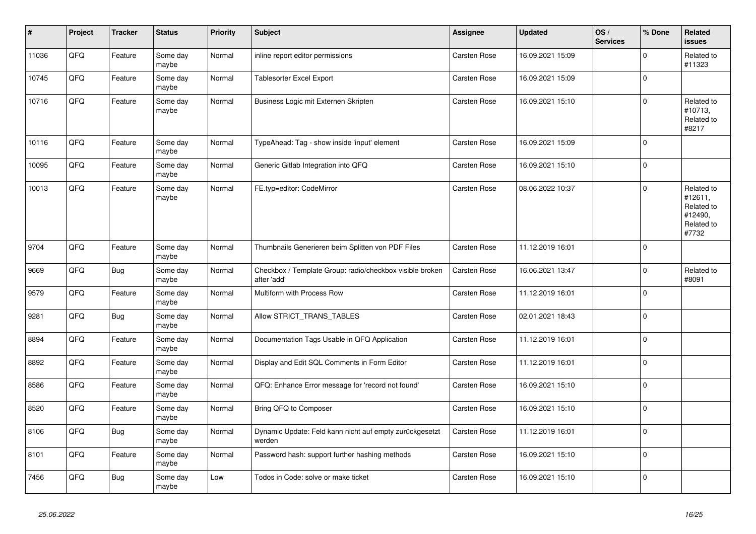| $\vert$ # | Project | <b>Tracker</b> | <b>Status</b>     | <b>Priority</b> | <b>Subject</b>                                                          | <b>Assignee</b>     | <b>Updated</b>   | OS/<br><b>Services</b> | % Done      | Related<br><b>issues</b>                                              |
|-----------|---------|----------------|-------------------|-----------------|-------------------------------------------------------------------------|---------------------|------------------|------------------------|-------------|-----------------------------------------------------------------------|
| 11036     | QFQ     | Feature        | Some day<br>maybe | Normal          | inline report editor permissions                                        | Carsten Rose        | 16.09.2021 15:09 |                        | $\mathbf 0$ | Related to<br>#11323                                                  |
| 10745     | QFQ     | Feature        | Some day<br>maybe | Normal          | Tablesorter Excel Export                                                | Carsten Rose        | 16.09.2021 15:09 |                        | $\pmb{0}$   |                                                                       |
| 10716     | QFQ     | Feature        | Some day<br>maybe | Normal          | Business Logic mit Externen Skripten                                    | <b>Carsten Rose</b> | 16.09.2021 15:10 |                        | $\mathbf 0$ | Related to<br>#10713,<br>Related to<br>#8217                          |
| 10116     | QFQ     | Feature        | Some day<br>maybe | Normal          | TypeAhead: Tag - show inside 'input' element                            | <b>Carsten Rose</b> | 16.09.2021 15:09 |                        | $\mathbf 0$ |                                                                       |
| 10095     | QFQ     | Feature        | Some day<br>maybe | Normal          | Generic Gitlab Integration into QFQ                                     | Carsten Rose        | 16.09.2021 15:10 |                        | $\pmb{0}$   |                                                                       |
| 10013     | QFQ     | Feature        | Some day<br>maybe | Normal          | FE.typ=editor: CodeMirror                                               | <b>Carsten Rose</b> | 08.06.2022 10:37 |                        | $\mathbf 0$ | Related to<br>#12611,<br>Related to<br>#12490,<br>Related to<br>#7732 |
| 9704      | QFQ     | Feature        | Some day<br>maybe | Normal          | Thumbnails Generieren beim Splitten von PDF Files                       | <b>Carsten Rose</b> | 11.12.2019 16:01 |                        | $\mathbf 0$ |                                                                       |
| 9669      | QFQ     | <b>Bug</b>     | Some day<br>maybe | Normal          | Checkbox / Template Group: radio/checkbox visible broken<br>after 'add' | Carsten Rose        | 16.06.2021 13:47 |                        | $\mathbf 0$ | Related to<br>#8091                                                   |
| 9579      | QFQ     | Feature        | Some day<br>maybe | Normal          | Multiform with Process Row                                              | Carsten Rose        | 11.12.2019 16:01 |                        | $\mathbf 0$ |                                                                       |
| 9281      | QFQ     | <b>Bug</b>     | Some day<br>maybe | Normal          | Allow STRICT_TRANS_TABLES                                               | Carsten Rose        | 02.01.2021 18:43 |                        | $\mathbf 0$ |                                                                       |
| 8894      | QFQ     | Feature        | Some day<br>maybe | Normal          | Documentation Tags Usable in QFQ Application                            | Carsten Rose        | 11.12.2019 16:01 |                        | $\pmb{0}$   |                                                                       |
| 8892      | QFQ     | Feature        | Some day<br>maybe | Normal          | Display and Edit SQL Comments in Form Editor                            | <b>Carsten Rose</b> | 11.12.2019 16:01 |                        | $\mathbf 0$ |                                                                       |
| 8586      | QFQ     | Feature        | Some day<br>maybe | Normal          | QFQ: Enhance Error message for 'record not found'                       | Carsten Rose        | 16.09.2021 15:10 |                        | $\mathbf 0$ |                                                                       |
| 8520      | QFQ     | Feature        | Some day<br>maybe | Normal          | Bring QFQ to Composer                                                   | Carsten Rose        | 16.09.2021 15:10 |                        | $\mathbf 0$ |                                                                       |
| 8106      | QFQ     | <b>Bug</b>     | Some day<br>maybe | Normal          | Dynamic Update: Feld kann nicht auf empty zurückgesetzt<br>werden       | <b>Carsten Rose</b> | 11.12.2019 16:01 |                        | $\mathbf 0$ |                                                                       |
| 8101      | QFQ     | Feature        | Some day<br>maybe | Normal          | Password hash: support further hashing methods                          | Carsten Rose        | 16.09.2021 15:10 |                        | $\mathbf 0$ |                                                                       |
| 7456      | QFQ     | <b>Bug</b>     | Some day<br>maybe | Low             | Todos in Code: solve or make ticket                                     | Carsten Rose        | 16.09.2021 15:10 |                        | $\pmb{0}$   |                                                                       |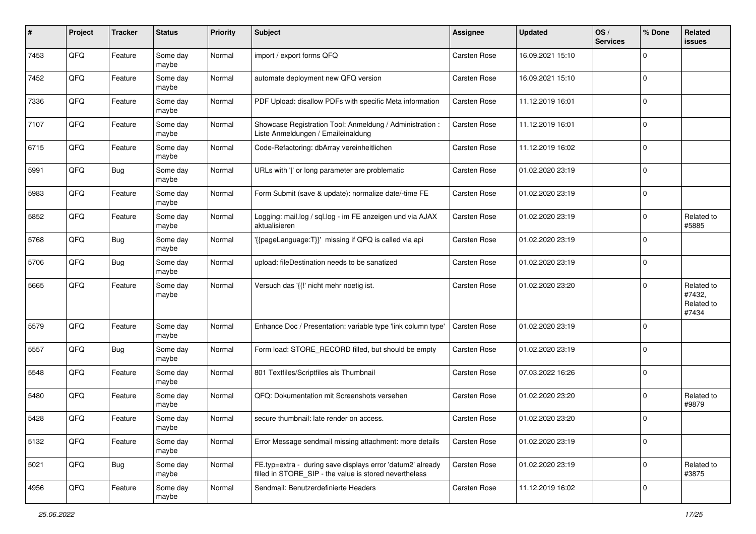| #    | Project | <b>Tracker</b> | <b>Status</b>     | <b>Priority</b> | Subject                                                                                                              | <b>Assignee</b>     | <b>Updated</b>   | OS/<br><b>Services</b> | % Done      | Related<br>issues                           |
|------|---------|----------------|-------------------|-----------------|----------------------------------------------------------------------------------------------------------------------|---------------------|------------------|------------------------|-------------|---------------------------------------------|
| 7453 | QFQ     | Feature        | Some day<br>maybe | Normal          | import / export forms QFQ                                                                                            | <b>Carsten Rose</b> | 16.09.2021 15:10 |                        | $\Omega$    |                                             |
| 7452 | QFQ     | Feature        | Some day<br>maybe | Normal          | automate deployment new QFQ version                                                                                  | Carsten Rose        | 16.09.2021 15:10 |                        | 0           |                                             |
| 7336 | QFQ     | Feature        | Some day<br>maybe | Normal          | PDF Upload: disallow PDFs with specific Meta information                                                             | Carsten Rose        | 11.12.2019 16:01 |                        | 0           |                                             |
| 7107 | QFQ     | Feature        | Some day<br>maybe | Normal          | Showcase Registration Tool: Anmeldung / Administration :<br>Liste Anmeldungen / Emaileinaldung                       | Carsten Rose        | 11.12.2019 16:01 |                        | 0           |                                             |
| 6715 | QFQ     | Feature        | Some day<br>maybe | Normal          | Code-Refactoring: dbArray vereinheitlichen                                                                           | Carsten Rose        | 11.12.2019 16:02 |                        | $\mathbf 0$ |                                             |
| 5991 | QFQ     | <b>Bug</b>     | Some day<br>maybe | Normal          | URLs with ' ' or long parameter are problematic                                                                      | Carsten Rose        | 01.02.2020 23:19 |                        | $\mathbf 0$ |                                             |
| 5983 | QFQ     | Feature        | Some day<br>maybe | Normal          | Form Submit (save & update): normalize date/-time FE                                                                 | Carsten Rose        | 01.02.2020 23:19 |                        | $\mathbf 0$ |                                             |
| 5852 | QFQ     | Feature        | Some day<br>maybe | Normal          | Logging: mail.log / sql.log - im FE anzeigen und via AJAX<br>aktualisieren                                           | Carsten Rose        | 01.02.2020 23:19 |                        | $\Omega$    | Related to<br>#5885                         |
| 5768 | QFQ     | <b>Bug</b>     | Some day<br>maybe | Normal          | '{{pageLanguage:T}}' missing if QFQ is called via api                                                                | Carsten Rose        | 01.02.2020 23:19 |                        | 0           |                                             |
| 5706 | QFQ     | <b>Bug</b>     | Some day<br>maybe | Normal          | upload: fileDestination needs to be sanatized                                                                        | Carsten Rose        | 01.02.2020 23:19 |                        | 0           |                                             |
| 5665 | QFQ     | Feature        | Some day<br>maybe | Normal          | Versuch das '{{!' nicht mehr noetig ist.                                                                             | Carsten Rose        | 01.02.2020 23:20 |                        | $\mathbf 0$ | Related to<br>#7432,<br>Related to<br>#7434 |
| 5579 | QFQ     | Feature        | Some day<br>maybe | Normal          | Enhance Doc / Presentation: variable type 'link column type'                                                         | Carsten Rose        | 01.02.2020 23:19 |                        | $\mathbf 0$ |                                             |
| 5557 | QFQ     | <b>Bug</b>     | Some day<br>maybe | Normal          | Form load: STORE_RECORD filled, but should be empty                                                                  | Carsten Rose        | 01.02.2020 23:19 |                        | $\mathbf 0$ |                                             |
| 5548 | QFQ     | Feature        | Some day<br>maybe | Normal          | 801 Textfiles/Scriptfiles als Thumbnail                                                                              | Carsten Rose        | 07.03.2022 16:26 |                        | $\mathbf 0$ |                                             |
| 5480 | QFQ     | Feature        | Some day<br>maybe | Normal          | QFQ: Dokumentation mit Screenshots versehen                                                                          | Carsten Rose        | 01.02.2020 23:20 |                        | 0           | Related to<br>#9879                         |
| 5428 | QFQ     | Feature        | Some day<br>maybe | Normal          | secure thumbnail: late render on access.                                                                             | Carsten Rose        | 01.02.2020 23:20 |                        | $\mathbf 0$ |                                             |
| 5132 | QFQ     | Feature        | Some day<br>maybe | Normal          | Error Message sendmail missing attachment: more details                                                              | Carsten Rose        | 01.02.2020 23:19 |                        | $\mathbf 0$ |                                             |
| 5021 | QFQ     | <b>Bug</b>     | Some day<br>maybe | Normal          | FE.typ=extra - during save displays error 'datum2' already<br>filled in STORE SIP - the value is stored nevertheless | Carsten Rose        | 01.02.2020 23:19 |                        | $\mathbf 0$ | Related to<br>#3875                         |
| 4956 | QFQ     | Feature        | Some day<br>maybe | Normal          | Sendmail: Benutzerdefinierte Headers                                                                                 | Carsten Rose        | 11.12.2019 16:02 |                        | $\mathbf 0$ |                                             |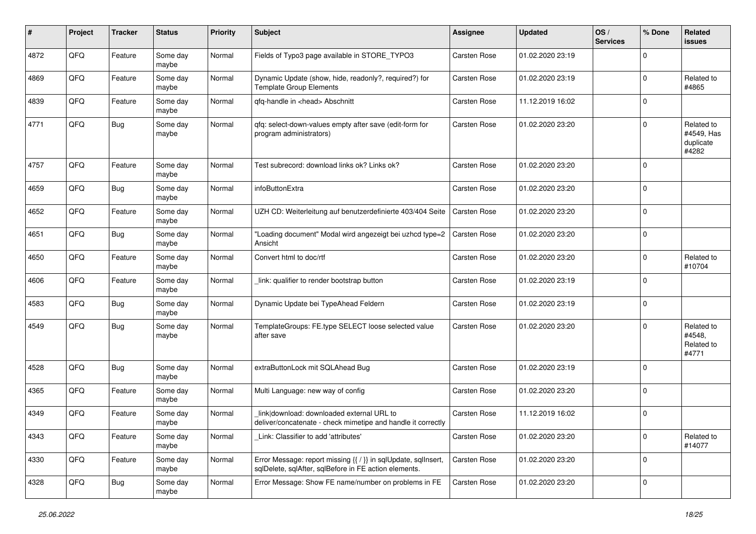| #    | Project | <b>Tracker</b> | <b>Status</b>     | <b>Priority</b> | <b>Subject</b>                                                                                                          | <b>Assignee</b>     | <b>Updated</b>   | OS/<br><b>Services</b> | % Done      | Related<br><b>issues</b>                       |
|------|---------|----------------|-------------------|-----------------|-------------------------------------------------------------------------------------------------------------------------|---------------------|------------------|------------------------|-------------|------------------------------------------------|
| 4872 | QFQ     | Feature        | Some day<br>maybe | Normal          | Fields of Typo3 page available in STORE_TYPO3                                                                           | Carsten Rose        | 01.02.2020 23:19 |                        | $\Omega$    |                                                |
| 4869 | QFQ     | Feature        | Some day<br>maybe | Normal          | Dynamic Update (show, hide, readonly?, required?) for<br><b>Template Group Elements</b>                                 | Carsten Rose        | 01.02.2020 23:19 |                        | $\mathbf 0$ | Related to<br>#4865                            |
| 4839 | QFQ     | Feature        | Some day<br>maybe | Normal          | qfq-handle in <head> Abschnitt</head>                                                                                   | Carsten Rose        | 11.12.2019 16:02 |                        | $\Omega$    |                                                |
| 4771 | QFQ     | <b>Bug</b>     | Some day<br>maybe | Normal          | qfq: select-down-values empty after save (edit-form for<br>program administrators)                                      | Carsten Rose        | 01.02.2020 23:20 |                        | $\mathbf 0$ | Related to<br>#4549, Has<br>duplicate<br>#4282 |
| 4757 | QFQ     | Feature        | Some day<br>maybe | Normal          | Test subrecord: download links ok? Links ok?                                                                            | Carsten Rose        | 01.02.2020 23:20 |                        | $\Omega$    |                                                |
| 4659 | QFQ     | <b>Bug</b>     | Some day<br>maybe | Normal          | infoButtonExtra                                                                                                         | Carsten Rose        | 01.02.2020 23:20 |                        | $\mathbf 0$ |                                                |
| 4652 | QFQ     | Feature        | Some day<br>maybe | Normal          | UZH CD: Weiterleitung auf benutzerdefinierte 403/404 Seite                                                              | <b>Carsten Rose</b> | 01.02.2020 23:20 |                        | $\mathbf 0$ |                                                |
| 4651 | QFQ     | <b>Bug</b>     | Some day<br>maybe | Normal          | "Loading document" Modal wird angezeigt bei uzhcd type=2<br>Ansicht                                                     | Carsten Rose        | 01.02.2020 23:20 |                        | $\mathbf 0$ |                                                |
| 4650 | QFQ     | Feature        | Some day<br>maybe | Normal          | Convert html to doc/rtf                                                                                                 | Carsten Rose        | 01.02.2020 23:20 |                        | $\mathbf 0$ | Related to<br>#10704                           |
| 4606 | QFQ     | Feature        | Some day<br>maybe | Normal          | link: qualifier to render bootstrap button                                                                              | Carsten Rose        | 01.02.2020 23:19 |                        | $\mathbf 0$ |                                                |
| 4583 | QFQ     | Bug            | Some day<br>maybe | Normal          | Dynamic Update bei TypeAhead Feldern                                                                                    | Carsten Rose        | 01.02.2020 23:19 |                        | $\mathbf 0$ |                                                |
| 4549 | QFQ     | <b>Bug</b>     | Some day<br>maybe | Normal          | TemplateGroups: FE.type SELECT loose selected value<br>after save                                                       | Carsten Rose        | 01.02.2020 23:20 |                        | $\mathbf 0$ | Related to<br>#4548.<br>Related to<br>#4771    |
| 4528 | QFQ     | <b>Bug</b>     | Some day<br>maybe | Normal          | extraButtonLock mit SQLAhead Bug                                                                                        | Carsten Rose        | 01.02.2020 23:19 |                        | $\Omega$    |                                                |
| 4365 | QFQ     | Feature        | Some day<br>maybe | Normal          | Multi Language: new way of config                                                                                       | Carsten Rose        | 01.02.2020 23:20 |                        | $\mathbf 0$ |                                                |
| 4349 | QFQ     | Feature        | Some day<br>maybe | Normal          | link download: downloaded external URL to<br>deliver/concatenate - check mimetipe and handle it correctly               | Carsten Rose        | 11.12.2019 16:02 |                        | $\mathbf 0$ |                                                |
| 4343 | QFQ     | Feature        | Some day<br>maybe | Normal          | Link: Classifier to add 'attributes'                                                                                    | Carsten Rose        | 01.02.2020 23:20 |                        | $\mathbf 0$ | Related to<br>#14077                           |
| 4330 | QFQ     | Feature        | Some day<br>maybe | Normal          | Error Message: report missing {{ / }} in sqlUpdate, sqlInsert,<br>sqlDelete, sqlAfter, sqlBefore in FE action elements. | Carsten Rose        | 01.02.2020 23:20 |                        | $\mathbf 0$ |                                                |
| 4328 | QFQ     | Bug            | Some day<br>maybe | Normal          | Error Message: Show FE name/number on problems in FE                                                                    | Carsten Rose        | 01.02.2020 23:20 |                        | $\mathbf 0$ |                                                |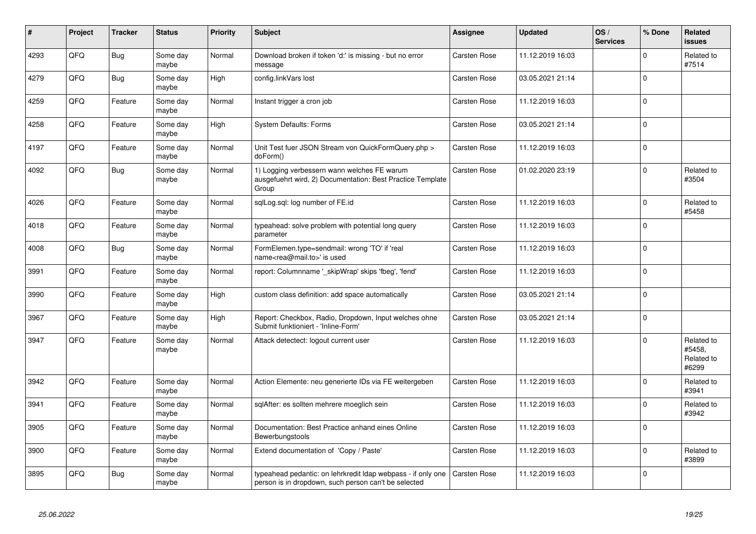| #    | Project | <b>Tracker</b> | <b>Status</b>     | <b>Priority</b> | <b>Subject</b>                                                                                                       | Assignee            | <b>Updated</b>   | OS/<br><b>Services</b> | % Done      | Related<br><b>issues</b>                    |
|------|---------|----------------|-------------------|-----------------|----------------------------------------------------------------------------------------------------------------------|---------------------|------------------|------------------------|-------------|---------------------------------------------|
| 4293 | QFQ     | Bug            | Some day<br>maybe | Normal          | Download broken if token 'd:' is missing - but no error<br>message                                                   | <b>Carsten Rose</b> | 11.12.2019 16:03 |                        | $\mathbf 0$ | Related to<br>#7514                         |
| 4279 | QFQ     | Bug            | Some day<br>maybe | High            | config.linkVars lost                                                                                                 | Carsten Rose        | 03.05.2021 21:14 |                        | $\Omega$    |                                             |
| 4259 | QFQ     | Feature        | Some day<br>maybe | Normal          | Instant trigger a cron job                                                                                           | Carsten Rose        | 11.12.2019 16:03 |                        | $\mathbf 0$ |                                             |
| 4258 | QFQ     | Feature        | Some day<br>maybe | High            | <b>System Defaults: Forms</b>                                                                                        | Carsten Rose        | 03.05.2021 21:14 |                        | $\Omega$    |                                             |
| 4197 | QFQ     | Feature        | Some day<br>maybe | Normal          | Unit Test fuer JSON Stream von QuickFormQuery.php ><br>doForm()                                                      | <b>Carsten Rose</b> | 11.12.2019 16:03 |                        | $\mathbf 0$ |                                             |
| 4092 | QFQ     | <b>Bug</b>     | Some day<br>maybe | Normal          | 1) Logging verbessern wann welches FE warum<br>ausgefuehrt wird, 2) Documentation: Best Practice Template<br>Group   | Carsten Rose        | 01.02.2020 23:19 |                        | $\mathbf 0$ | Related to<br>#3504                         |
| 4026 | QFQ     | Feature        | Some day<br>maybe | Normal          | sglLog.sgl: log number of FE.id                                                                                      | Carsten Rose        | 11.12.2019 16:03 |                        | $\mathbf 0$ | Related to<br>#5458                         |
| 4018 | QFQ     | Feature        | Some day<br>maybe | Normal          | typeahead: solve problem with potential long query<br>parameter                                                      | <b>Carsten Rose</b> | 11.12.2019 16:03 |                        | $\mathbf 0$ |                                             |
| 4008 | QFQ     | Bug            | Some day<br>maybe | Normal          | FormElemen.type=sendmail: wrong 'TO' if 'real<br>name <rea@mail.to>' is used</rea@mail.to>                           | Carsten Rose        | 11.12.2019 16:03 |                        | $\Omega$    |                                             |
| 3991 | QFQ     | Feature        | Some day<br>maybe | Normal          | report: Columnname '_skipWrap' skips 'fbeg', 'fend'                                                                  | Carsten Rose        | 11.12.2019 16:03 |                        | $\mathbf 0$ |                                             |
| 3990 | QFQ     | Feature        | Some day<br>maybe | High            | custom class definition: add space automatically                                                                     | Carsten Rose        | 03.05.2021 21:14 |                        | $\pmb{0}$   |                                             |
| 3967 | QFQ     | Feature        | Some day<br>maybe | High            | Report: Checkbox, Radio, Dropdown, Input welches ohne<br>Submit funktioniert - 'Inline-Form'                         | Carsten Rose        | 03.05.2021 21:14 |                        | $\Omega$    |                                             |
| 3947 | QFQ     | Feature        | Some day<br>maybe | Normal          | Attack detectect: logout current user                                                                                | Carsten Rose        | 11.12.2019 16:03 |                        | $\mathbf 0$ | Related to<br>#5458.<br>Related to<br>#6299 |
| 3942 | QFQ     | Feature        | Some day<br>maybe | Normal          | Action Elemente: neu generierte IDs via FE weitergeben                                                               | <b>Carsten Rose</b> | 11.12.2019 16:03 |                        | $\mathbf 0$ | Related to<br>#3941                         |
| 3941 | QFQ     | Feature        | Some day<br>maybe | Normal          | sqlAfter: es sollten mehrere moeglich sein                                                                           | Carsten Rose        | 11.12.2019 16:03 |                        | $\Omega$    | Related to<br>#3942                         |
| 3905 | QFQ     | Feature        | Some day<br>maybe | Normal          | Documentation: Best Practice anhand eines Online<br>Bewerbungstools                                                  | Carsten Rose        | 11.12.2019 16:03 |                        | $\Omega$    |                                             |
| 3900 | QFQ     | Feature        | Some day<br>maybe | Normal          | Extend documentation of 'Copy / Paste'                                                                               | Carsten Rose        | 11.12.2019 16:03 |                        | $\Omega$    | Related to<br>#3899                         |
| 3895 | QFQ     | <b>Bug</b>     | Some day<br>maybe | Normal          | typeahead pedantic: on lehrkredit Idap webpass - if only one<br>person is in dropdown, such person can't be selected | <b>Carsten Rose</b> | 11.12.2019 16:03 |                        | $\Omega$    |                                             |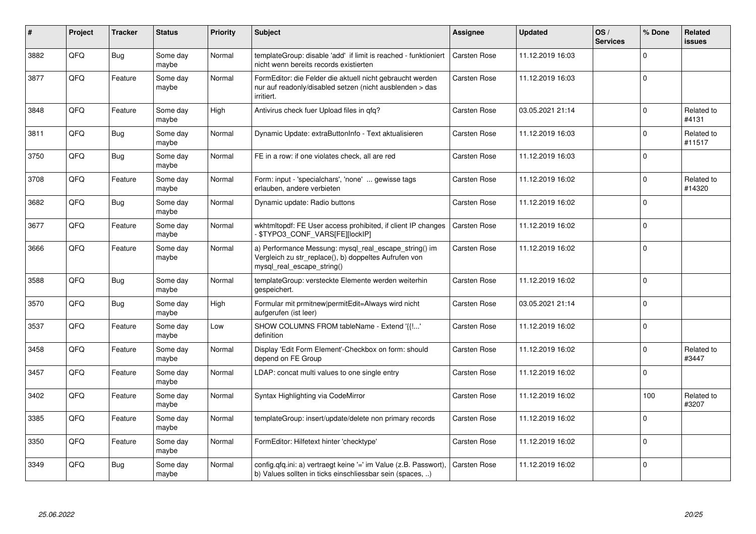| ∦    | Project | <b>Tracker</b> | <b>Status</b>     | <b>Priority</b> | <b>Subject</b>                                                                                                                               | <b>Assignee</b>     | <b>Updated</b>   | OS/<br><b>Services</b> | % Done      | Related<br>issues    |
|------|---------|----------------|-------------------|-----------------|----------------------------------------------------------------------------------------------------------------------------------------------|---------------------|------------------|------------------------|-------------|----------------------|
| 3882 | QFQ     | Bug            | Some day<br>maybe | Normal          | templateGroup: disable 'add' if limit is reached - funktioniert<br>nicht wenn bereits records existierten                                    | Carsten Rose        | 11.12.2019 16:03 |                        | $\Omega$    |                      |
| 3877 | QFQ     | Feature        | Some day<br>maybe | Normal          | FormEditor: die Felder die aktuell nicht gebraucht werden<br>nur auf readonly/disabled setzen (nicht ausblenden > das<br>irritiert.          | Carsten Rose        | 11.12.2019 16:03 |                        | $\Omega$    |                      |
| 3848 | QFQ     | Feature        | Some day<br>maybe | High            | Antivirus check fuer Upload files in qfq?                                                                                                    | Carsten Rose        | 03.05.2021 21:14 |                        | $\Omega$    | Related to<br>#4131  |
| 3811 | QFQ     | <b>Bug</b>     | Some day<br>maybe | Normal          | Dynamic Update: extraButtonInfo - Text aktualisieren                                                                                         | Carsten Rose        | 11.12.2019 16:03 |                        | $\Omega$    | Related to<br>#11517 |
| 3750 | QFQ     | <b>Bug</b>     | Some day<br>maybe | Normal          | FE in a row: if one violates check, all are red                                                                                              | Carsten Rose        | 11.12.2019 16:03 |                        | $\mathbf 0$ |                      |
| 3708 | QFQ     | Feature        | Some day<br>maybe | Normal          | Form: input - 'specialchars', 'none'  gewisse tags<br>erlauben, andere verbieten                                                             | Carsten Rose        | 11.12.2019 16:02 |                        | $\Omega$    | Related to<br>#14320 |
| 3682 | QFQ     | <b>Bug</b>     | Some day<br>maybe | Normal          | Dynamic update: Radio buttons                                                                                                                | Carsten Rose        | 11.12.2019 16:02 |                        | $\Omega$    |                      |
| 3677 | QFQ     | Feature        | Some day<br>maybe | Normal          | wkhtmltopdf: FE User access prohibited, if client IP changes<br>\$TYPO3 CONF VARS[FE][lockIP]                                                | Carsten Rose        | 11.12.2019 16:02 |                        | $\Omega$    |                      |
| 3666 | QFQ     | Feature        | Some day<br>maybe | Normal          | a) Performance Messung: mysql_real_escape_string() im<br>Vergleich zu str_replace(), b) doppeltes Aufrufen von<br>mysql real escape string() | Carsten Rose        | 11.12.2019 16:02 |                        | $\mathbf 0$ |                      |
| 3588 | QFQ     | Bug            | Some day<br>maybe | Normal          | templateGroup: versteckte Elemente werden weiterhin<br>gespeichert.                                                                          | <b>Carsten Rose</b> | 11.12.2019 16:02 |                        | $\Omega$    |                      |
| 3570 | QFQ     | <b>Bug</b>     | Some day<br>maybe | High            | Formular mit prmitnew permitEdit=Always wird nicht<br>aufgerufen (ist leer)                                                                  | <b>Carsten Rose</b> | 03.05.2021 21:14 |                        | $\mathbf 0$ |                      |
| 3537 | QFQ     | Feature        | Some day<br>maybe | Low             | SHOW COLUMNS FROM tableName - Extend '{{!'<br>definition                                                                                     | Carsten Rose        | 11.12.2019 16:02 |                        | $\Omega$    |                      |
| 3458 | QFQ     | Feature        | Some day<br>maybe | Normal          | Display 'Edit Form Element'-Checkbox on form: should<br>depend on FE Group                                                                   | Carsten Rose        | 11.12.2019 16:02 |                        | $\Omega$    | Related to<br>#3447  |
| 3457 | QFQ     | Feature        | Some day<br>maybe | Normal          | LDAP: concat multi values to one single entry                                                                                                | <b>Carsten Rose</b> | 11.12.2019 16:02 |                        | $\Omega$    |                      |
| 3402 | QFQ     | Feature        | Some day<br>maybe | Normal          | Syntax Highlighting via CodeMirror                                                                                                           | <b>Carsten Rose</b> | 11.12.2019 16:02 |                        | 100         | Related to<br>#3207  |
| 3385 | QFQ     | Feature        | Some day<br>maybe | Normal          | templateGroup: insert/update/delete non primary records                                                                                      | Carsten Rose        | 11.12.2019 16:02 |                        | $\Omega$    |                      |
| 3350 | QFQ     | Feature        | Some day<br>maybe | Normal          | FormEditor: Hilfetext hinter 'checktype'                                                                                                     | Carsten Rose        | 11.12.2019 16:02 |                        | $\Omega$    |                      |
| 3349 | QFQ     | Bug            | Some day<br>maybe | Normal          | config.qfq.ini: a) vertraegt keine '=' im Value (z.B. Passwort),<br>b) Values sollten in ticks einschliessbar sein (spaces, )                | Carsten Rose        | 11.12.2019 16:02 |                        | $\Omega$    |                      |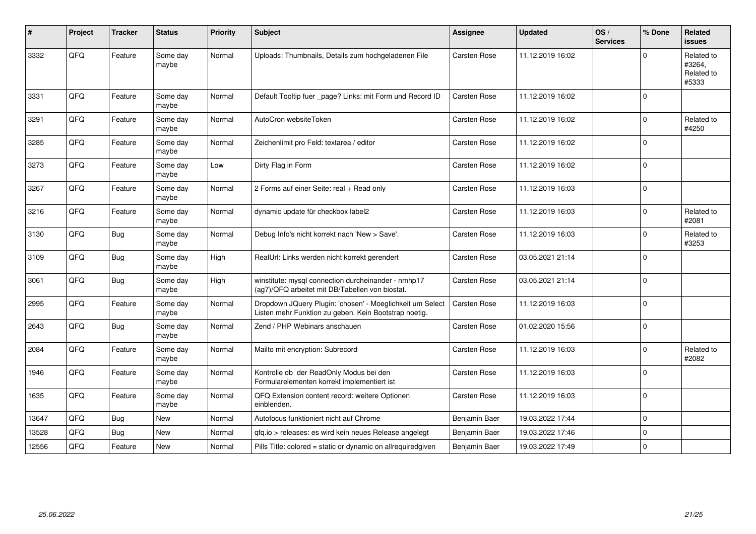| $\sharp$ | Project | <b>Tracker</b> | <b>Status</b>     | <b>Priority</b> | <b>Subject</b>                                                                                                     | <b>Assignee</b>     | <b>Updated</b>   | OS/<br><b>Services</b> | % Done      | Related<br>issues                           |
|----------|---------|----------------|-------------------|-----------------|--------------------------------------------------------------------------------------------------------------------|---------------------|------------------|------------------------|-------------|---------------------------------------------|
| 3332     | QFQ     | Feature        | Some day<br>maybe | Normal          | Uploads: Thumbnails, Details zum hochgeladenen File                                                                | Carsten Rose        | 11.12.2019 16:02 |                        | $\Omega$    | Related to<br>#3264,<br>Related to<br>#5333 |
| 3331     | QFQ     | Feature        | Some day<br>maybe | Normal          | Default Tooltip fuer _page? Links: mit Form und Record ID                                                          | <b>Carsten Rose</b> | 11.12.2019 16:02 |                        | $\Omega$    |                                             |
| 3291     | QFQ     | Feature        | Some day<br>maybe | Normal          | AutoCron websiteToken                                                                                              | Carsten Rose        | 11.12.2019 16:02 |                        | 0           | Related to<br>#4250                         |
| 3285     | QFQ     | Feature        | Some day<br>maybe | Normal          | Zeichenlimit pro Feld: textarea / editor                                                                           | Carsten Rose        | 11.12.2019 16:02 |                        | $\Omega$    |                                             |
| 3273     | QFQ     | Feature        | Some day<br>maybe | Low             | Dirty Flag in Form                                                                                                 | Carsten Rose        | 11.12.2019 16:02 |                        | $\Omega$    |                                             |
| 3267     | QFQ     | Feature        | Some day<br>maybe | Normal          | 2 Forms auf einer Seite: real + Read only                                                                          | Carsten Rose        | 11.12.2019 16:03 |                        | $\Omega$    |                                             |
| 3216     | QFQ     | Feature        | Some day<br>maybe | Normal          | dynamic update für checkbox label2                                                                                 | Carsten Rose        | 11.12.2019 16:03 |                        | $\Omega$    | Related to<br>#2081                         |
| 3130     | QFG     | <b>Bug</b>     | Some day<br>maybe | Normal          | Debug Info's nicht korrekt nach 'New > Save'.                                                                      | Carsten Rose        | 11.12.2019 16:03 |                        | $\Omega$    | Related to<br>#3253                         |
| 3109     | QFQ     | Bug            | Some day<br>maybe | High            | RealUrl: Links werden nicht korrekt gerendert                                                                      | <b>Carsten Rose</b> | 03.05.2021 21:14 |                        | $\Omega$    |                                             |
| 3061     | QFQ     | Bug            | Some day<br>maybe | High            | winstitute: mysql connection durcheinander - nmhp17<br>(ag7)/QFQ arbeitet mit DB/Tabellen von biostat.             | <b>Carsten Rose</b> | 03.05.2021 21:14 |                        | $\Omega$    |                                             |
| 2995     | QFQ     | Feature        | Some day<br>maybe | Normal          | Dropdown JQuery Plugin: 'chosen' - Moeglichkeit um Select<br>Listen mehr Funktion zu geben. Kein Bootstrap noetig. | Carsten Rose        | 11.12.2019 16:03 |                        | $\Omega$    |                                             |
| 2643     | QFQ     | <b>Bug</b>     | Some day<br>maybe | Normal          | Zend / PHP Webinars anschauen                                                                                      | Carsten Rose        | 01.02.2020 15:56 |                        | $\Omega$    |                                             |
| 2084     | QFQ     | Feature        | Some day<br>maybe | Normal          | Mailto mit encryption: Subrecord                                                                                   | Carsten Rose        | 11.12.2019 16:03 |                        | $\Omega$    | Related to<br>#2082                         |
| 1946     | QFQ     | Feature        | Some day<br>maybe | Normal          | Kontrolle ob der ReadOnly Modus bei den<br>Formularelementen korrekt implementiert ist                             | Carsten Rose        | 11.12.2019 16:03 |                        | $\Omega$    |                                             |
| 1635     | QFQ     | Feature        | Some day<br>maybe | Normal          | QFQ Extension content record: weitere Optionen<br>einblenden.                                                      | Carsten Rose        | 11.12.2019 16:03 |                        | $\Omega$    |                                             |
| 13647    | QFQ     | Bug            | New               | Normal          | Autofocus funktioniert nicht auf Chrome                                                                            | Benjamin Baer       | 19.03.2022 17:44 |                        | $\Omega$    |                                             |
| 13528    | QFQ     | <b>Bug</b>     | <b>New</b>        | Normal          | qfq.io > releases: es wird kein neues Release angelegt                                                             | Benjamin Baer       | 19.03.2022 17:46 |                        | $\mathbf 0$ |                                             |
| 12556    | QFQ     | Feature        | <b>New</b>        | Normal          | Pills Title: colored = static or dynamic on allrequiredgiven                                                       | Benjamin Baer       | 19.03.2022 17:49 |                        | 0           |                                             |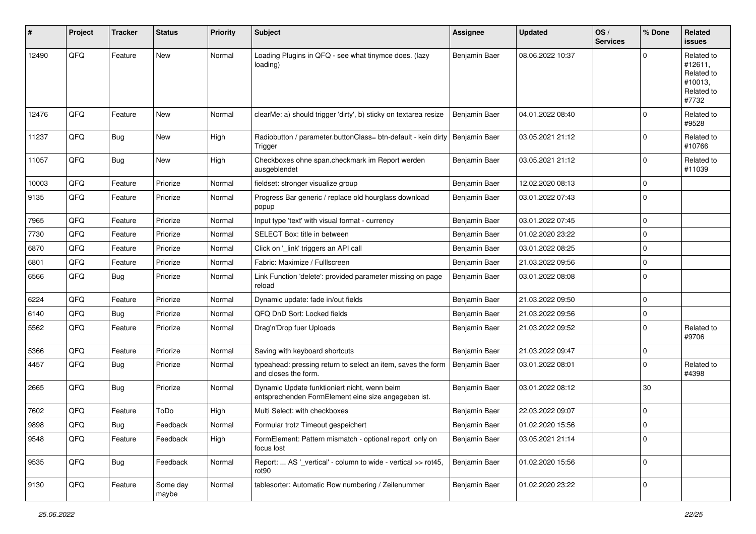| #     | Project | <b>Tracker</b> | <b>Status</b>     | <b>Priority</b> | <b>Subject</b>                                                                                      | <b>Assignee</b> | <b>Updated</b>   | OS/<br><b>Services</b> | % Done      | Related<br><b>issues</b>                                              |
|-------|---------|----------------|-------------------|-----------------|-----------------------------------------------------------------------------------------------------|-----------------|------------------|------------------------|-------------|-----------------------------------------------------------------------|
| 12490 | QFQ     | Feature        | <b>New</b>        | Normal          | Loading Plugins in QFQ - see what tinymce does. (lazy<br>loading)                                   | Benjamin Baer   | 08.06.2022 10:37 |                        | $\Omega$    | Related to<br>#12611,<br>Related to<br>#10013,<br>Related to<br>#7732 |
| 12476 | QFQ     | Feature        | New               | Normal          | clearMe: a) should trigger 'dirty', b) sticky on textarea resize                                    | Benjamin Baer   | 04.01.2022 08:40 |                        | $\mathbf 0$ | Related to<br>#9528                                                   |
| 11237 | QFQ     | <b>Bug</b>     | New               | High            | Radiobutton / parameter.buttonClass= btn-default - kein dirty<br>Trigger                            | Benjamin Baer   | 03.05.2021 21:12 |                        | $\Omega$    | Related to<br>#10766                                                  |
| 11057 | QFQ     | <b>Bug</b>     | New               | High            | Checkboxes ohne span.checkmark im Report werden<br>ausgeblendet                                     | Benjamin Baer   | 03.05.2021 21:12 |                        | $\Omega$    | Related to<br>#11039                                                  |
| 10003 | QFQ     | Feature        | Priorize          | Normal          | fieldset: stronger visualize group                                                                  | Benjamin Baer   | 12.02.2020 08:13 |                        | 0           |                                                                       |
| 9135  | QFQ     | Feature        | Priorize          | Normal          | Progress Bar generic / replace old hourglass download<br>popup                                      | Benjamin Baer   | 03.01.2022 07:43 |                        | $\mathbf 0$ |                                                                       |
| 7965  | QFQ     | Feature        | Priorize          | Normal          | Input type 'text' with visual format - currency                                                     | Benjamin Baer   | 03.01.2022 07:45 |                        | $\mathbf 0$ |                                                                       |
| 7730  | QFQ     | Feature        | Priorize          | Normal          | SELECT Box: title in between                                                                        | Benjamin Baer   | 01.02.2020 23:22 |                        | $\pmb{0}$   |                                                                       |
| 6870  | QFQ     | Feature        | Priorize          | Normal          | Click on '_link' triggers an API call                                                               | Benjamin Baer   | 03.01.2022 08:25 |                        | $\pmb{0}$   |                                                                       |
| 6801  | QFQ     | Feature        | Priorize          | Normal          | Fabric: Maximize / FullIscreen                                                                      | Benjamin Baer   | 21.03.2022 09:56 |                        | 0           |                                                                       |
| 6566  | QFQ     | <b>Bug</b>     | Priorize          | Normal          | Link Function 'delete': provided parameter missing on page<br>reload                                | Benjamin Baer   | 03.01.2022 08:08 |                        | $\Omega$    |                                                                       |
| 6224  | QFQ     | Feature        | Priorize          | Normal          | Dynamic update: fade in/out fields                                                                  | Benjamin Baer   | 21.03.2022 09:50 |                        | $\mathbf 0$ |                                                                       |
| 6140  | QFQ     | <b>Bug</b>     | Priorize          | Normal          | QFQ DnD Sort: Locked fields                                                                         | Benjamin Baer   | 21.03.2022 09:56 |                        | 0           |                                                                       |
| 5562  | QFQ     | Feature        | Priorize          | Normal          | Drag'n'Drop fuer Uploads                                                                            | Benjamin Baer   | 21.03.2022 09:52 |                        | $\mathbf 0$ | Related to<br>#9706                                                   |
| 5366  | QFQ     | Feature        | Priorize          | Normal          | Saving with keyboard shortcuts                                                                      | Benjamin Baer   | 21.03.2022 09:47 |                        | $\pmb{0}$   |                                                                       |
| 4457  | QFQ     | <b>Bug</b>     | Priorize          | Normal          | typeahead: pressing return to select an item, saves the form<br>and closes the form.                | Benjamin Baer   | 03.01.2022 08:01 |                        | $\Omega$    | Related to<br>#4398                                                   |
| 2665  | QFQ     | <b>Bug</b>     | Priorize          | Normal          | Dynamic Update funktioniert nicht, wenn beim<br>entsprechenden FormElement eine size angegeben ist. | Benjamin Baer   | 03.01.2022 08:12 |                        | 30          |                                                                       |
| 7602  | QFQ     | Feature        | ToDo              | High            | Multi Select: with checkboxes                                                                       | Benjamin Baer   | 22.03.2022 09:07 |                        | $\mathbf 0$ |                                                                       |
| 9898  | QFQ     | Bug            | Feedback          | Normal          | Formular trotz Timeout gespeichert                                                                  | Benjamin Baer   | 01.02.2020 15:56 |                        | $\mathbf 0$ |                                                                       |
| 9548  | QFQ     | Feature        | Feedback          | High            | FormElement: Pattern mismatch - optional report only on<br>focus lost                               | Benjamin Baer   | 03.05.2021 21:14 |                        | 0           |                                                                       |
| 9535  | QFQ     | <b>Bug</b>     | Feedback          | Normal          | Report:  AS ' vertical' - column to wide - vertical >> rot45,<br>rot90                              | Benjamin Baer   | 01.02.2020 15:56 |                        | 0           |                                                                       |
| 9130  | QFQ     | Feature        | Some day<br>maybe | Normal          | tablesorter: Automatic Row numbering / Zeilenummer                                                  | Benjamin Baer   | 01.02.2020 23:22 |                        | 0           |                                                                       |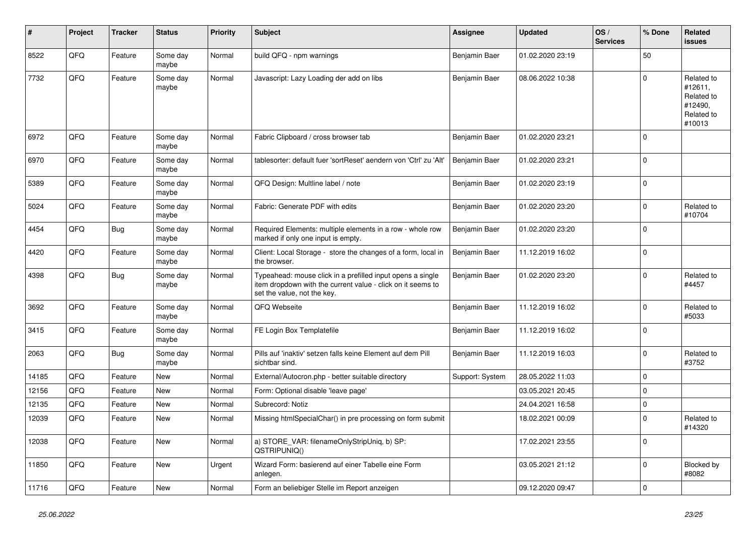| ∦     | Project | <b>Tracker</b> | <b>Status</b>     | <b>Priority</b> | <b>Subject</b>                                                                                                                                           | <b>Assignee</b> | <b>Updated</b>   | OS/<br><b>Services</b> | % Done      | Related<br><b>issues</b>                                               |
|-------|---------|----------------|-------------------|-----------------|----------------------------------------------------------------------------------------------------------------------------------------------------------|-----------------|------------------|------------------------|-------------|------------------------------------------------------------------------|
| 8522  | QFQ     | Feature        | Some day<br>maybe | Normal          | build QFQ - npm warnings                                                                                                                                 | Benjamin Baer   | 01.02.2020 23:19 |                        | 50          |                                                                        |
| 7732  | QFQ     | Feature        | Some day<br>maybe | Normal          | Javascript: Lazy Loading der add on libs                                                                                                                 | Benjamin Baer   | 08.06.2022 10:38 |                        | $\mathbf 0$ | Related to<br>#12611,<br>Related to<br>#12490,<br>Related to<br>#10013 |
| 6972  | QFQ     | Feature        | Some day<br>maybe | Normal          | Fabric Clipboard / cross browser tab                                                                                                                     | Benjamin Baer   | 01.02.2020 23:21 |                        | $\Omega$    |                                                                        |
| 6970  | QFQ     | Feature        | Some day<br>maybe | Normal          | tablesorter: default fuer 'sortReset' aendern von 'Ctrl' zu 'Alt'                                                                                        | Benjamin Baer   | 01.02.2020 23:21 |                        | $\Omega$    |                                                                        |
| 5389  | QFQ     | Feature        | Some day<br>maybe | Normal          | QFQ Design: Multline label / note                                                                                                                        | Benjamin Baer   | 01.02.2020 23:19 |                        | $\Omega$    |                                                                        |
| 5024  | QFQ     | Feature        | Some day<br>maybe | Normal          | Fabric: Generate PDF with edits                                                                                                                          | Benjamin Baer   | 01.02.2020 23:20 |                        | $\Omega$    | Related to<br>#10704                                                   |
| 4454  | QFQ     | <b>Bug</b>     | Some day<br>maybe | Normal          | Required Elements: multiple elements in a row - whole row<br>marked if only one input is empty.                                                          | Benjamin Baer   | 01.02.2020 23:20 |                        | $\Omega$    |                                                                        |
| 4420  | QFQ     | Feature        | Some day<br>maybe | Normal          | Client: Local Storage - store the changes of a form, local in<br>the browser.                                                                            | Benjamin Baer   | 11.12.2019 16:02 |                        | $\Omega$    |                                                                        |
| 4398  | QFQ     | <b>Bug</b>     | Some day<br>maybe | Normal          | Typeahead: mouse click in a prefilled input opens a single<br>item dropdown with the current value - click on it seems to<br>set the value, not the key. | Benjamin Baer   | 01.02.2020 23:20 |                        | $\Omega$    | Related to<br>#4457                                                    |
| 3692  | QFQ     | Feature        | Some day<br>maybe | Normal          | QFQ Webseite                                                                                                                                             | Benjamin Baer   | 11.12.2019 16:02 |                        | $\Omega$    | Related to<br>#5033                                                    |
| 3415  | QFQ     | Feature        | Some day<br>maybe | Normal          | FE Login Box Templatefile                                                                                                                                | Benjamin Baer   | 11.12.2019 16:02 |                        | $\Omega$    |                                                                        |
| 2063  | QFQ     | Bug            | Some day<br>maybe | Normal          | Pills auf 'inaktiv' setzen falls keine Element auf dem Pill<br>sichtbar sind.                                                                            | Benjamin Baer   | 11.12.2019 16:03 |                        | $\Omega$    | Related to<br>#3752                                                    |
| 14185 | QFQ     | Feature        | <b>New</b>        | Normal          | External/Autocron.php - better suitable directory                                                                                                        | Support: System | 28.05.2022 11:03 |                        | $\mathbf 0$ |                                                                        |
| 12156 | QFQ     | Feature        | New               | Normal          | Form: Optional disable 'leave page'                                                                                                                      |                 | 03.05.2021 20:45 |                        | $\Omega$    |                                                                        |
| 12135 | QFQ     | Feature        | <b>New</b>        | Normal          | Subrecord: Notiz                                                                                                                                         |                 | 24.04.2021 16:58 |                        | 0           |                                                                        |
| 12039 | QFQ     | Feature        | New               | Normal          | Missing htmlSpecialChar() in pre processing on form submit                                                                                               |                 | 18.02.2021 00:09 |                        | $\Omega$    | Related to<br>#14320                                                   |
| 12038 | QFQ     | Feature        | <b>New</b>        | Normal          | a) STORE VAR: filenameOnlyStripUniq, b) SP:<br>QSTRIPUNIQ()                                                                                              |                 | 17.02.2021 23:55 |                        | $\Omega$    |                                                                        |
| 11850 | QFQ     | Feature        | <b>New</b>        | Urgent          | Wizard Form: basierend auf einer Tabelle eine Form<br>anlegen.                                                                                           |                 | 03.05.2021 21:12 |                        | $\Omega$    | Blocked by<br>#8082                                                    |
| 11716 | QFQ     | Feature        | New               | Normal          | Form an beliebiger Stelle im Report anzeigen                                                                                                             |                 | 09.12.2020 09:47 |                        | $\Omega$    |                                                                        |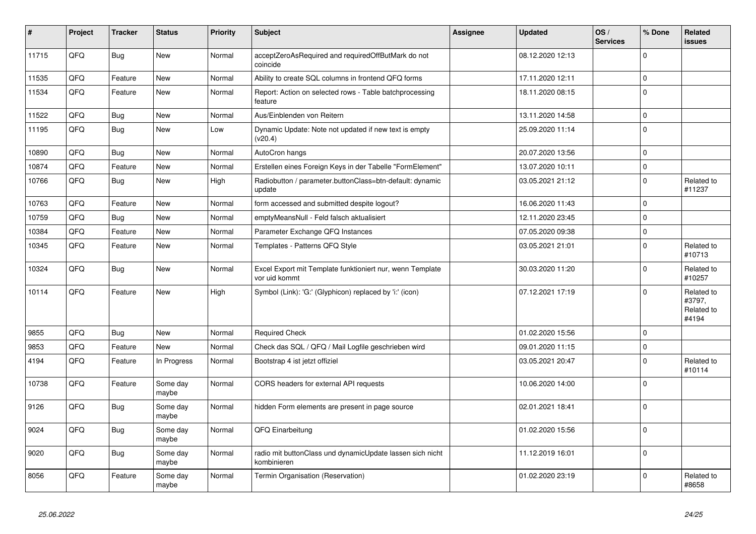| $\vert$ # | Project | <b>Tracker</b> | <b>Status</b>     | <b>Priority</b> | <b>Subject</b>                                                             | <b>Assignee</b> | <b>Updated</b>   | OS/<br><b>Services</b> | % Done      | Related<br><b>issues</b>                    |
|-----------|---------|----------------|-------------------|-----------------|----------------------------------------------------------------------------|-----------------|------------------|------------------------|-------------|---------------------------------------------|
| 11715     | QFQ     | <b>Bug</b>     | <b>New</b>        | Normal          | acceptZeroAsRequired and requiredOffButMark do not<br>coincide             |                 | 08.12.2020 12:13 |                        | $\Omega$    |                                             |
| 11535     | QFQ     | Feature        | <b>New</b>        | Normal          | Ability to create SQL columns in frontend QFQ forms                        |                 | 17.11.2020 12:11 |                        | $\mathbf 0$ |                                             |
| 11534     | QFQ     | Feature        | <b>New</b>        | Normal          | Report: Action on selected rows - Table batchprocessing<br>feature         |                 | 18.11.2020 08:15 |                        | $\Omega$    |                                             |
| 11522     | QFQ     | Bug            | <b>New</b>        | Normal          | Aus/Einblenden von Reitern                                                 |                 | 13.11.2020 14:58 |                        | $\mathbf 0$ |                                             |
| 11195     | QFQ     | <b>Bug</b>     | <b>New</b>        | Low             | Dynamic Update: Note not updated if new text is empty<br>(v20.4)           |                 | 25.09.2020 11:14 |                        | $\Omega$    |                                             |
| 10890     | QFQ     | Bug            | <b>New</b>        | Normal          | AutoCron hangs                                                             |                 | 20.07.2020 13:56 |                        | 0           |                                             |
| 10874     | QFQ     | Feature        | <b>New</b>        | Normal          | Erstellen eines Foreign Keys in der Tabelle "FormElement"                  |                 | 13.07.2020 10:11 |                        | $\Omega$    |                                             |
| 10766     | QFQ     | Bug            | New               | High            | Radiobutton / parameter.buttonClass=btn-default: dynamic<br>update         |                 | 03.05.2021 21:12 |                        | $\Omega$    | Related to<br>#11237                        |
| 10763     | QFQ     | Feature        | New               | Normal          | form accessed and submitted despite logout?                                |                 | 16.06.2020 11:43 |                        | $\Omega$    |                                             |
| 10759     | QFQ     | Bug            | New               | Normal          | emptyMeansNull - Feld falsch aktualisiert                                  |                 | 12.11.2020 23:45 |                        | $\Omega$    |                                             |
| 10384     | QFQ     | Feature        | New               | Normal          | Parameter Exchange QFQ Instances                                           |                 | 07.05.2020 09:38 |                        | $\Omega$    |                                             |
| 10345     | QFQ     | Feature        | New               | Normal          | Templates - Patterns QFQ Style                                             |                 | 03.05.2021 21:01 |                        | $\Omega$    | Related to<br>#10713                        |
| 10324     | QFQ     | Bug            | New               | Normal          | Excel Export mit Template funktioniert nur, wenn Template<br>vor uid kommt |                 | 30.03.2020 11:20 |                        | $\Omega$    | Related to<br>#10257                        |
| 10114     | QFQ     | Feature        | New               | High            | Symbol (Link): 'G:' (Glyphicon) replaced by 'i:' (icon)                    |                 | 07.12.2021 17:19 |                        | $\Omega$    | Related to<br>#3797,<br>Related to<br>#4194 |
| 9855      | QFQ     | Bug            | <b>New</b>        | Normal          | <b>Required Check</b>                                                      |                 | 01.02.2020 15:56 |                        | $\Omega$    |                                             |
| 9853      | QFQ     | Feature        | <b>New</b>        | Normal          | Check das SQL / QFQ / Mail Logfile geschrieben wird                        |                 | 09.01.2020 11:15 |                        | $\Omega$    |                                             |
| 4194      | QFQ     | Feature        | In Progress       | Normal          | Bootstrap 4 ist jetzt offiziel                                             |                 | 03.05.2021 20:47 |                        | $\Omega$    | Related to<br>#10114                        |
| 10738     | QFQ     | Feature        | Some day<br>maybe | Normal          | CORS headers for external API requests                                     |                 | 10.06.2020 14:00 |                        | $\Omega$    |                                             |
| 9126      | QFQ     | Bug            | Some day<br>maybe | Normal          | hidden Form elements are present in page source                            |                 | 02.01.2021 18:41 |                        | $\Omega$    |                                             |
| 9024      | QFQ     | <b>Bug</b>     | Some day<br>maybe | Normal          | QFQ Einarbeitung                                                           |                 | 01.02.2020 15:56 |                        | $\Omega$    |                                             |
| 9020      | QFQ     | <b>Bug</b>     | Some day<br>maybe | Normal          | radio mit buttonClass und dynamicUpdate lassen sich nicht<br>kombinieren   |                 | 11.12.2019 16:01 |                        | $\Omega$    |                                             |
| 8056      | QFQ     | Feature        | Some day<br>maybe | Normal          | Termin Organisation (Reservation)                                          |                 | 01.02.2020 23:19 |                        | $\Omega$    | Related to<br>#8658                         |